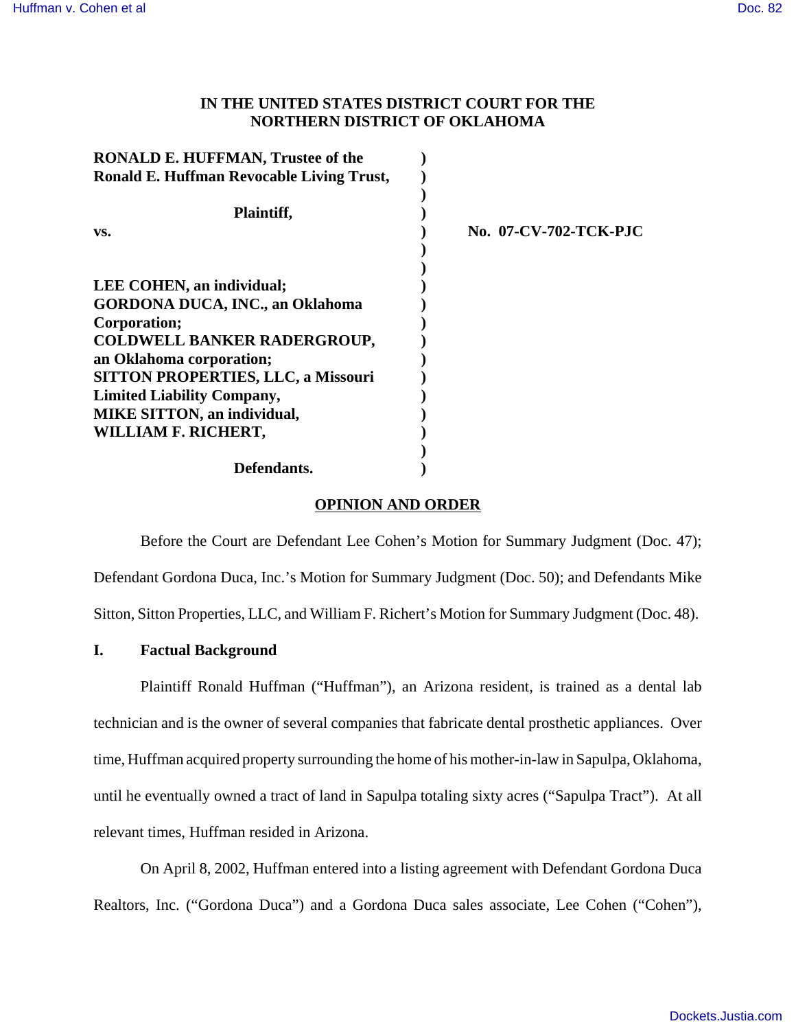# **IN THE UNITED STATES DISTRICT COURT FOR THE NORTHERN DISTRICT OF OKLAHOMA**

| <b>RONALD E. HUFFMAN, Trustee of the</b>         |                       |
|--------------------------------------------------|-----------------------|
| <b>Ronald E. Huffman Revocable Living Trust,</b> |                       |
|                                                  |                       |
| Plaintiff,                                       |                       |
| VS.                                              | No. 07-CV-702-TCK-PJC |
|                                                  |                       |
|                                                  |                       |
| LEE COHEN, an individual;                        |                       |
| <b>GORDONA DUCA, INC., an Oklahoma</b>           |                       |
| Corporation;                                     |                       |
| <b>COLDWELL BANKER RADERGROUP,</b>               |                       |
| an Oklahoma corporation;                         |                       |
| <b>SITTON PROPERTIES, LLC, a Missouri</b>        |                       |
| <b>Limited Liability Company,</b>                |                       |
| <b>MIKE SITTON, an individual,</b>               |                       |
| WILLIAM F. RICHERT,                              |                       |
|                                                  |                       |
| Defendants.                                      |                       |

# **OPINION AND ORDER**

Before the Court are Defendant Lee Cohen's Motion for Summary Judgment (Doc. 47); Defendant Gordona Duca, Inc.'s Motion for Summary Judgment (Doc. 50); and Defendants Mike Sitton, Sitton Properties, LLC, and William F. Richert's Motion for Summary Judgment (Doc. 48).

# **I. Factual Background**

Plaintiff Ronald Huffman ("Huffman"), an Arizona resident, is trained as a dental lab technician and is the owner of several companies that fabricate dental prosthetic appliances. Over time, Huffman acquired property surrounding the home of his mother-in-law in Sapulpa, Oklahoma, until he eventually owned a tract of land in Sapulpa totaling sixty acres ("Sapulpa Tract"). At all relevant times, Huffman resided in Arizona.

On April 8, 2002, Huffman entered into a listing agreement with Defendant Gordona Duca Realtors, Inc. ("Gordona Duca") and a Gordona Duca sales associate, Lee Cohen ("Cohen"),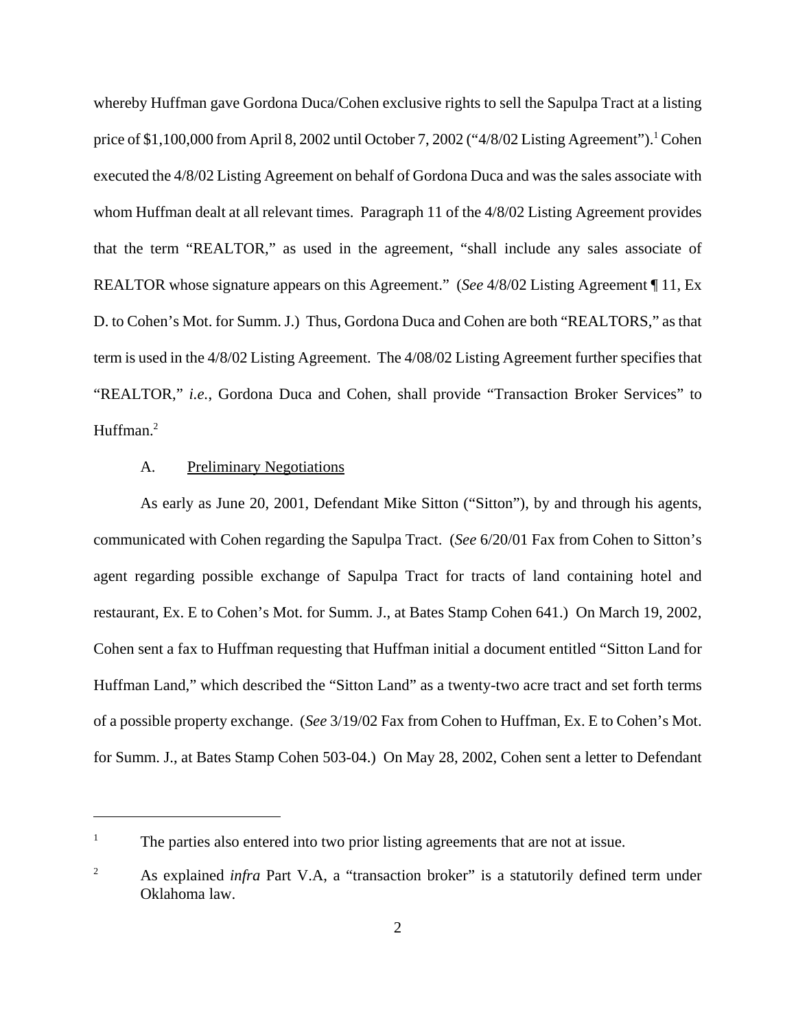whereby Huffman gave Gordona Duca/Cohen exclusive rights to sell the Sapulpa Tract at a listing price of \$1,100,000 from April 8, 2002 until October 7, 2002 ("4/8/02 Listing Agreement").<sup>1</sup> Cohen executed the 4/8/02 Listing Agreement on behalf of Gordona Duca and was the sales associate with whom Huffman dealt at all relevant times. Paragraph 11 of the 4/8/02 Listing Agreement provides that the term "REALTOR," as used in the agreement, "shall include any sales associate of REALTOR whose signature appears on this Agreement." (*See* 4/8/02 Listing Agreement ¶ 11, Ex D. to Cohen's Mot. for Summ. J.) Thus, Gordona Duca and Cohen are both "REALTORS," as that term is used in the 4/8/02 Listing Agreement. The 4/08/02 Listing Agreement further specifies that "REALTOR," *i.e.*, Gordona Duca and Cohen, shall provide "Transaction Broker Services" to Huffman.<sup>2</sup>

# A. Preliminary Negotiations

As early as June 20, 2001, Defendant Mike Sitton ("Sitton"), by and through his agents, communicated with Cohen regarding the Sapulpa Tract. (*See* 6/20/01 Fax from Cohen to Sitton's agent regarding possible exchange of Sapulpa Tract for tracts of land containing hotel and restaurant, Ex. E to Cohen's Mot. for Summ. J., at Bates Stamp Cohen 641.) On March 19, 2002, Cohen sent a fax to Huffman requesting that Huffman initial a document entitled "Sitton Land for Huffman Land," which described the "Sitton Land" as a twenty-two acre tract and set forth terms of a possible property exchange. (*See* 3/19/02 Fax from Cohen to Huffman, Ex. E to Cohen's Mot. for Summ. J., at Bates Stamp Cohen 503-04.) On May 28, 2002, Cohen sent a letter to Defendant

<sup>&</sup>lt;sup>1</sup> The parties also entered into two prior listing agreements that are not at issue.

<sup>&</sup>lt;sup>2</sup> As explained *infra* Part V.A, a "transaction broker" is a statutorily defined term under Oklahoma law.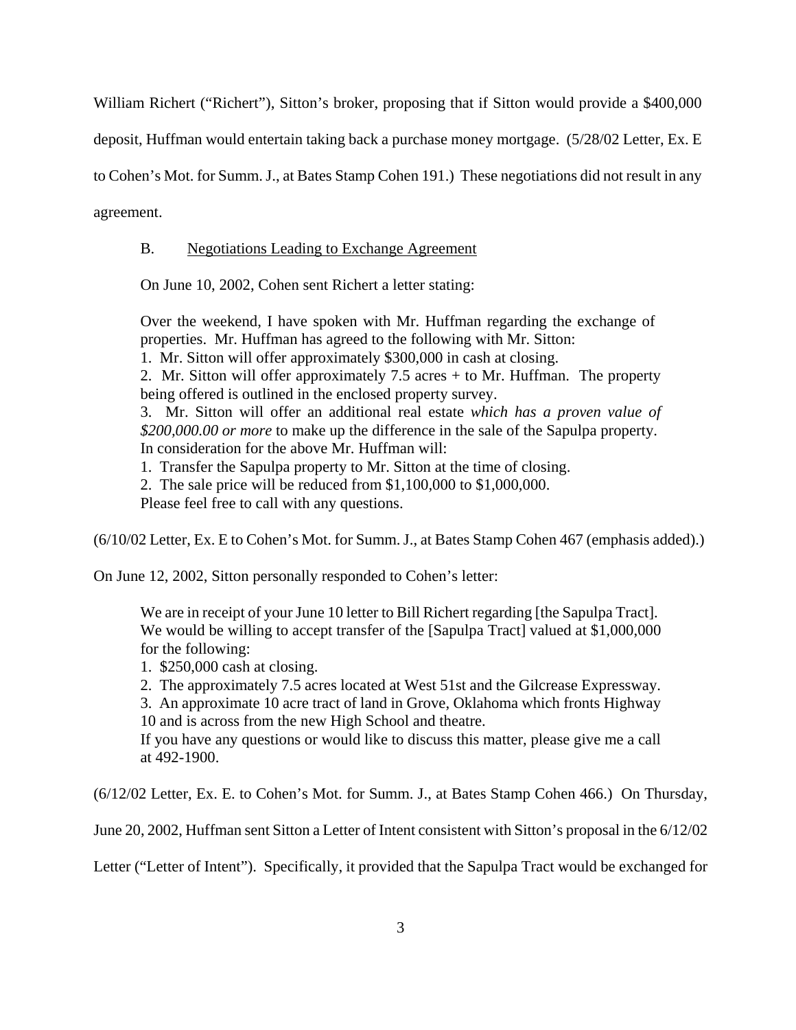William Richert ("Richert"), Sitton's broker, proposing that if Sitton would provide a \$400,000

deposit, Huffman would entertain taking back a purchase money mortgage. (5/28/02 Letter, Ex. E

to Cohen's Mot. for Summ. J., at Bates Stamp Cohen 191.) These negotiations did not result in any

agreement.

# B. Negotiations Leading to Exchange Agreement

On June 10, 2002, Cohen sent Richert a letter stating:

Over the weekend, I have spoken with Mr. Huffman regarding the exchange of properties. Mr. Huffman has agreed to the following with Mr. Sitton:

1. Mr. Sitton will offer approximately \$300,000 in cash at closing.

2. Mr. Sitton will offer approximately 7.5 acres + to Mr. Huffman. The property being offered is outlined in the enclosed property survey.

3. Mr. Sitton will offer an additional real estate *which has a proven value of \$200,000.00 or more* to make up the difference in the sale of the Sapulpa property. In consideration for the above Mr. Huffman will:

1. Transfer the Sapulpa property to Mr. Sitton at the time of closing.

2. The sale price will be reduced from \$1,100,000 to \$1,000,000.

Please feel free to call with any questions.

(6/10/02 Letter, Ex. E to Cohen's Mot. for Summ. J., at Bates Stamp Cohen 467 (emphasis added).)

On June 12, 2002, Sitton personally responded to Cohen's letter:

We are in receipt of your June 10 letter to Bill Richert regarding [the Sapulpa Tract]. We would be willing to accept transfer of the [Sapulpa Tract] valued at \$1,000,000 for the following:

1. \$250,000 cash at closing.

2. The approximately 7.5 acres located at West 51st and the Gilcrease Expressway.

3. An approximate 10 acre tract of land in Grove, Oklahoma which fronts Highway 10 and is across from the new High School and theatre.

If you have any questions or would like to discuss this matter, please give me a call at 492-1900.

(6/12/02 Letter, Ex. E. to Cohen's Mot. for Summ. J., at Bates Stamp Cohen 466.) On Thursday,

June 20, 2002, Huffman sent Sitton a Letter of Intent consistent with Sitton's proposal in the 6/12/02

Letter ("Letter of Intent"). Specifically, it provided that the Sapulpa Tract would be exchanged for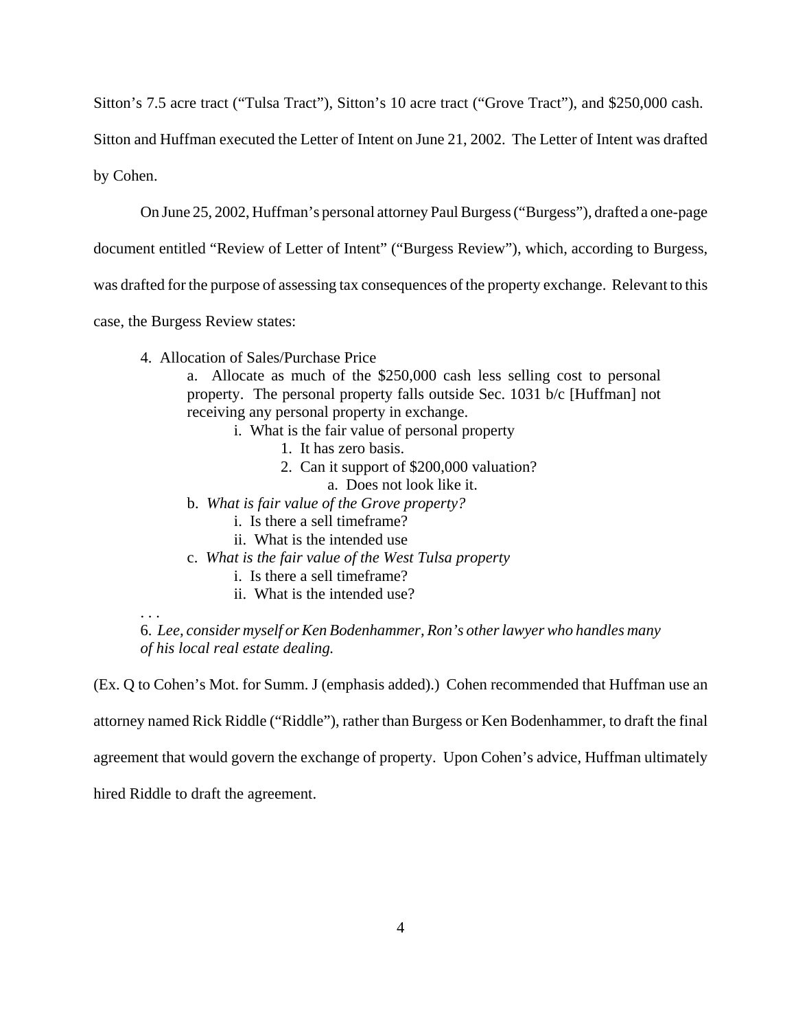Sitton's 7.5 acre tract ("Tulsa Tract"), Sitton's 10 acre tract ("Grove Tract"), and \$250,000 cash.

Sitton and Huffman executed the Letter of Intent on June 21, 2002. The Letter of Intent was drafted

by Cohen.

On June 25, 2002, Huffman's personal attorney Paul Burgess ("Burgess"), drafted a one-page

document entitled "Review of Letter of Intent" ("Burgess Review"), which, according to Burgess,

was drafted for the purpose of assessing tax consequences of the property exchange. Relevant to this

case, the Burgess Review states:

4. Allocation of Sales/Purchase Price

a. Allocate as much of the \$250,000 cash less selling cost to personal property. The personal property falls outside Sec. 1031 b/c [Huffman] not receiving any personal property in exchange.

- i. What is the fair value of personal property
	- 1. It has zero basis.
	- 2. Can it support of \$200,000 valuation?
		- a. Does not look like it.
- b. *What is fair value of the Grove property?*
	- i. Is there a sell timeframe?
	- ii. What is the intended use
- c. *What is the fair value of the West Tulsa property*
	- i. Is there a sell timeframe?
	- ii. What is the intended use?

6. *Lee, consider myself or Ken Bodenhammer, Ron's other lawyer who handles many of his local real estate dealing.*

(Ex. Q to Cohen's Mot. for Summ. J (emphasis added).) Cohen recommended that Huffman use an

attorney named Rick Riddle ("Riddle"), rather than Burgess or Ken Bodenhammer, to draft the final

agreement that would govern the exchange of property. Upon Cohen's advice, Huffman ultimately

hired Riddle to draft the agreement.

. . .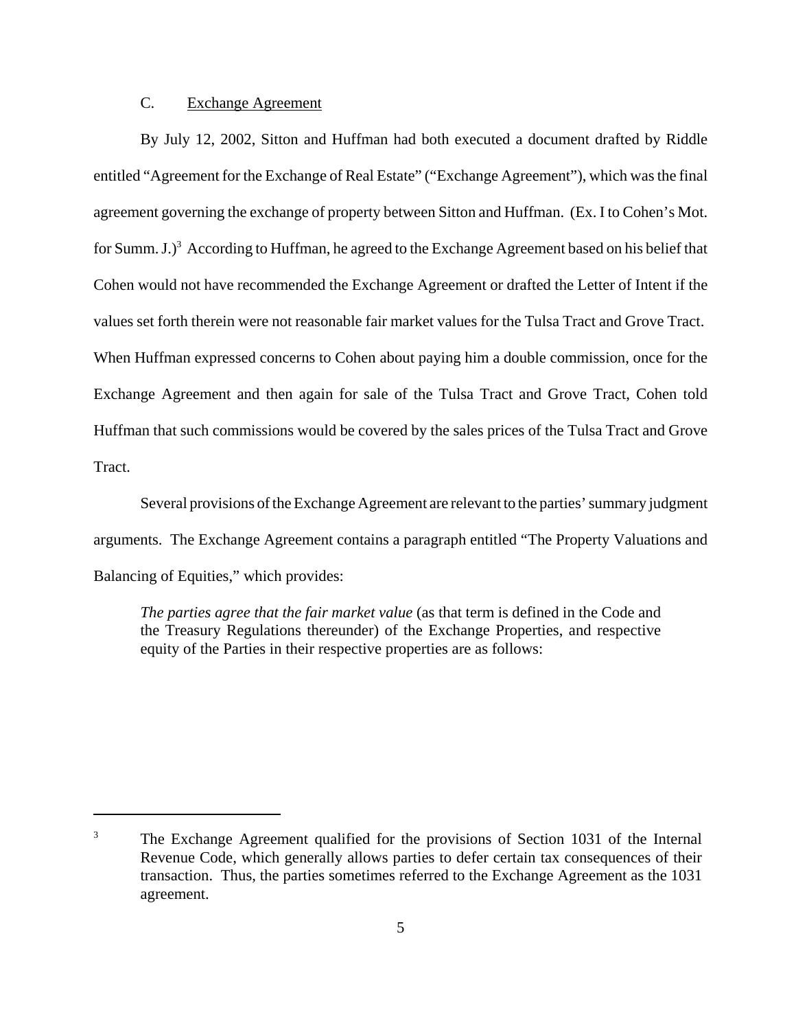# C. Exchange Agreement

By July 12, 2002, Sitton and Huffman had both executed a document drafted by Riddle entitled "Agreement for the Exchange of Real Estate" ("Exchange Agreement"), which was the final agreement governing the exchange of property between Sitton and Huffman. (Ex. I to Cohen's Mot. for Summ. J.)<sup>3</sup> According to Huffman, he agreed to the Exchange Agreement based on his belief that Cohen would not have recommended the Exchange Agreement or drafted the Letter of Intent if the values set forth therein were not reasonable fair market values for the Tulsa Tract and Grove Tract. When Huffman expressed concerns to Cohen about paying him a double commission, once for the Exchange Agreement and then again for sale of the Tulsa Tract and Grove Tract, Cohen told Huffman that such commissions would be covered by the sales prices of the Tulsa Tract and Grove Tract.

Several provisions of the Exchange Agreement are relevant to the parties' summary judgment arguments. The Exchange Agreement contains a paragraph entitled "The Property Valuations and Balancing of Equities," which provides:

*The parties agree that the fair market value* (as that term is defined in the Code and the Treasury Regulations thereunder) of the Exchange Properties, and respective equity of the Parties in their respective properties are as follows:

<sup>&</sup>lt;sup>3</sup> The Exchange Agreement qualified for the provisions of Section 1031 of the Internal Revenue Code, which generally allows parties to defer certain tax consequences of their transaction. Thus, the parties sometimes referred to the Exchange Agreement as the 1031 agreement.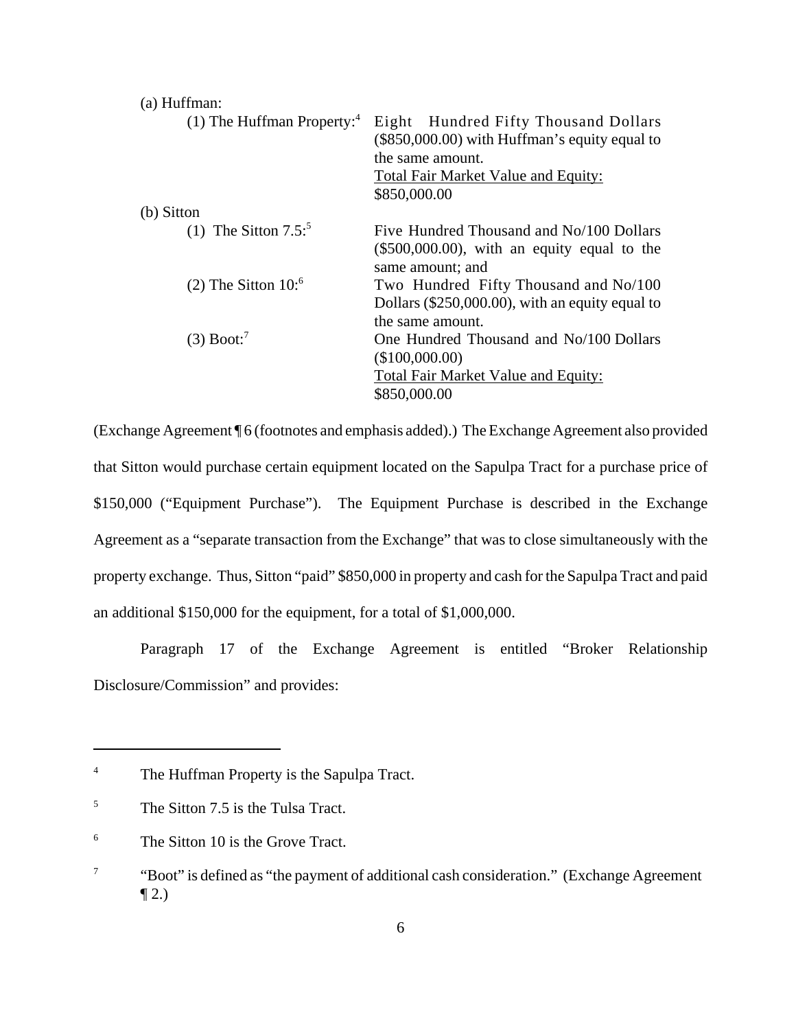| (a) Huffman:                             |                                                                                                                                                                           |
|------------------------------------------|---------------------------------------------------------------------------------------------------------------------------------------------------------------------------|
| $(1)$ The Huffman Property: <sup>4</sup> | Eight Hundred Fifty Thousand Dollars<br>$(\$850,000.00)$ with Huffman's equity equal to<br>the same amount.<br><b>Total Fair Market Value and Equity:</b><br>\$850,000.00 |
| (b) Sitton                               |                                                                                                                                                                           |
| (1) The Sitton $7.5$ <sup>5</sup>        | Five Hundred Thousand and No/100 Dollars<br>$(\$500,000.00)$ , with an equity equal to the<br>same amount; and                                                            |
| $(2)$ The Sitton 10: <sup>6</sup>        | Two Hundred Fifty Thousand and No/100<br>Dollars $(\$250,000.00)$ , with an equity equal to<br>the same amount.                                                           |
| $(3)$ Boot: <sup>7</sup>                 | One Hundred Thousand and No/100 Dollars<br>(\$100,000.00)<br>Total Fair Market Value and Equity:<br>\$850,000.00                                                          |

(Exchange Agreement ¶ 6 (footnotes and emphasis added).) The Exchange Agreement also provided that Sitton would purchase certain equipment located on the Sapulpa Tract for a purchase price of \$150,000 ("Equipment Purchase"). The Equipment Purchase is described in the Exchange Agreement as a "separate transaction from the Exchange" that was to close simultaneously with the property exchange. Thus, Sitton "paid" \$850,000 in property and cash for the Sapulpa Tract and paid an additional \$150,000 for the equipment, for a total of \$1,000,000.

Paragraph 17 of the Exchange Agreement is entitled "Broker Relationship Disclosure/Commission" and provides:

<sup>&</sup>lt;sup>4</sup> The Huffman Property is the Sapulpa Tract.

<sup>&</sup>lt;sup>5</sup> The Sitton 7.5 is the Tulsa Tract.

<sup>&</sup>lt;sup>6</sup> The Sitton 10 is the Grove Tract.

<sup>7</sup> "Boot" is defined as "the payment of additional cash consideration." (Exchange Agreement  $\P 2.$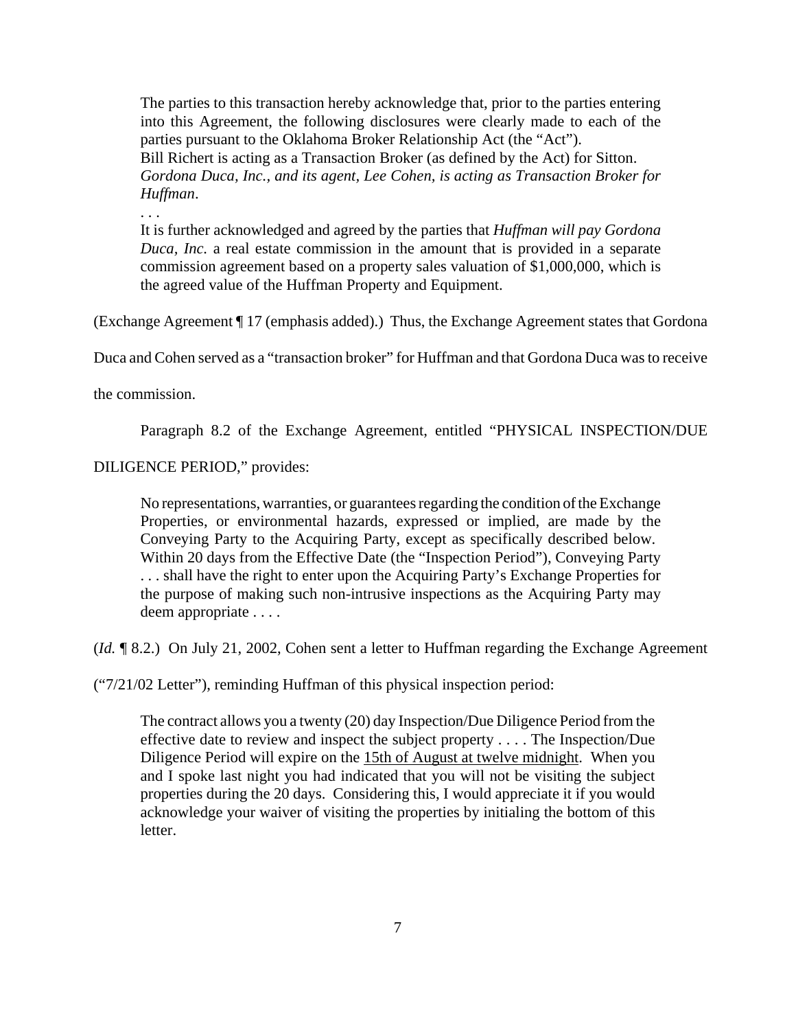The parties to this transaction hereby acknowledge that, prior to the parties entering into this Agreement, the following disclosures were clearly made to each of the parties pursuant to the Oklahoma Broker Relationship Act (the "Act"). Bill Richert is acting as a Transaction Broker (as defined by the Act) for Sitton. *Gordona Duca, Inc., and its agent, Lee Cohen, is acting as Transaction Broker for Huffman*.

It is further acknowledged and agreed by the parties that *Huffman will pay Gordona Duca, Inc.* a real estate commission in the amount that is provided in a separate commission agreement based on a property sales valuation of \$1,000,000, which is the agreed value of the Huffman Property and Equipment.

(Exchange Agreement ¶ 17 (emphasis added).) Thus, the Exchange Agreement states that Gordona

Duca and Cohen served as a "transaction broker" for Huffman and that Gordona Duca was to receive

the commission.

. . .

Paragraph 8.2 of the Exchange Agreement, entitled "PHYSICAL INSPECTION/DUE

DILIGENCE PERIOD," provides:

No representations, warranties, or guarantees regarding the condition of the Exchange Properties, or environmental hazards, expressed or implied, are made by the Conveying Party to the Acquiring Party, except as specifically described below. Within 20 days from the Effective Date (the "Inspection Period"), Conveying Party . . . shall have the right to enter upon the Acquiring Party's Exchange Properties for the purpose of making such non-intrusive inspections as the Acquiring Party may deem appropriate . . . .

(*Id.* ¶ 8.2.) On July 21, 2002, Cohen sent a letter to Huffman regarding the Exchange Agreement

("7/21/02 Letter"), reminding Huffman of this physical inspection period:

The contract allows you a twenty (20) day Inspection/Due Diligence Period from the effective date to review and inspect the subject property . . . . The Inspection/Due Diligence Period will expire on the 15th of August at twelve midnight. When you and I spoke last night you had indicated that you will not be visiting the subject properties during the 20 days. Considering this, I would appreciate it if you would acknowledge your waiver of visiting the properties by initialing the bottom of this letter.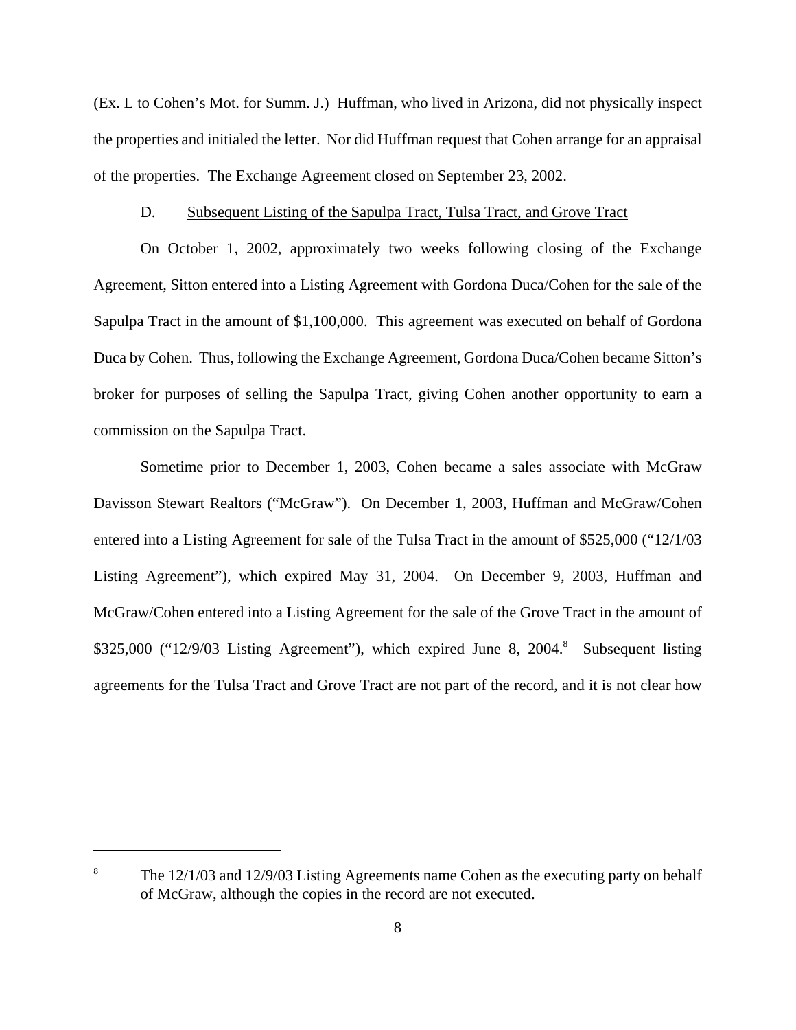(Ex. L to Cohen's Mot. for Summ. J.) Huffman, who lived in Arizona, did not physically inspect the properties and initialed the letter. Nor did Huffman request that Cohen arrange for an appraisal of the properties. The Exchange Agreement closed on September 23, 2002.

## D. Subsequent Listing of the Sapulpa Tract, Tulsa Tract, and Grove Tract

On October 1, 2002, approximately two weeks following closing of the Exchange Agreement, Sitton entered into a Listing Agreement with Gordona Duca/Cohen for the sale of the Sapulpa Tract in the amount of \$1,100,000. This agreement was executed on behalf of Gordona Duca by Cohen. Thus, following the Exchange Agreement, Gordona Duca/Cohen became Sitton's broker for purposes of selling the Sapulpa Tract, giving Cohen another opportunity to earn a commission on the Sapulpa Tract.

Sometime prior to December 1, 2003, Cohen became a sales associate with McGraw Davisson Stewart Realtors ("McGraw"). On December 1, 2003, Huffman and McGraw/Cohen entered into a Listing Agreement for sale of the Tulsa Tract in the amount of \$525,000 ("12/1/03 Listing Agreement"), which expired May 31, 2004. On December 9, 2003, Huffman and McGraw/Cohen entered into a Listing Agreement for the sale of the Grove Tract in the amount of \$325,000 ("12/9/03 Listing Agreement"), which expired June 8, 2004.<sup>8</sup> Subsequent listing agreements for the Tulsa Tract and Grove Tract are not part of the record, and it is not clear how

<sup>&</sup>lt;sup>8</sup> The 12/1/03 and 12/9/03 Listing Agreements name Cohen as the executing party on behalf of McGraw, although the copies in the record are not executed.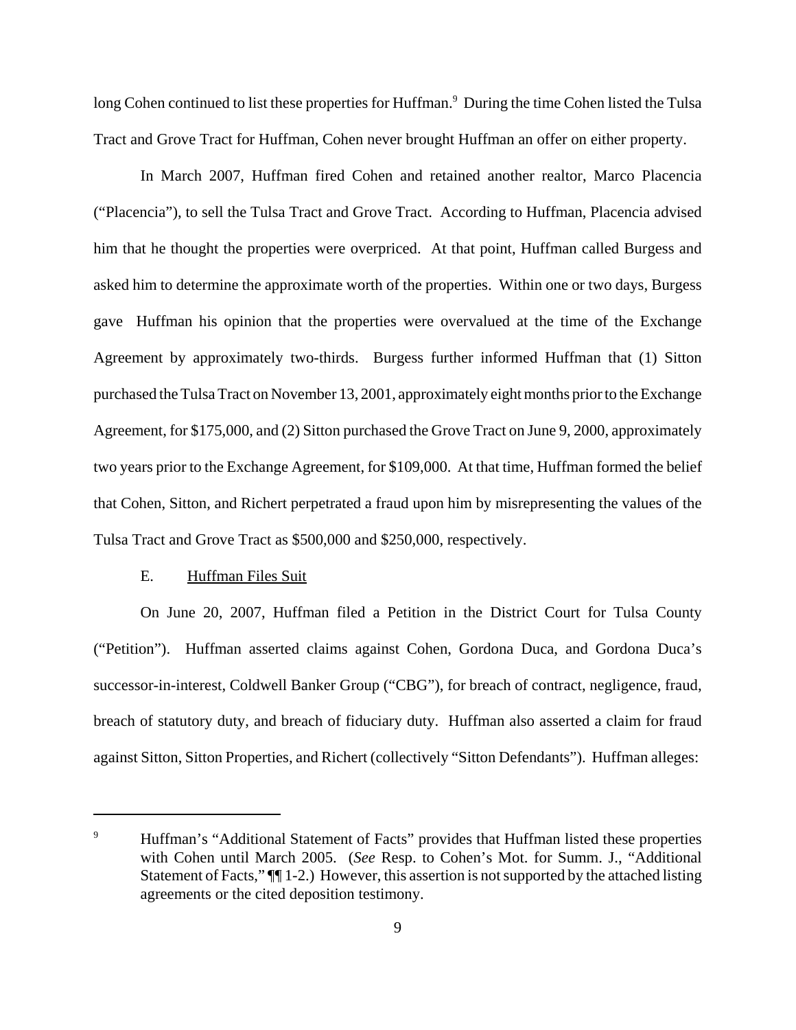long Cohen continued to list these properties for Huffman.<sup>9</sup> During the time Cohen listed the Tulsa Tract and Grove Tract for Huffman, Cohen never brought Huffman an offer on either property.

In March 2007, Huffman fired Cohen and retained another realtor, Marco Placencia ("Placencia"), to sell the Tulsa Tract and Grove Tract. According to Huffman, Placencia advised him that he thought the properties were overpriced. At that point, Huffman called Burgess and asked him to determine the approximate worth of the properties. Within one or two days, Burgess gave Huffman his opinion that the properties were overvalued at the time of the Exchange Agreement by approximately two-thirds. Burgess further informed Huffman that (1) Sitton purchased the Tulsa Tract on November 13, 2001, approximately eight months prior to the Exchange Agreement, for \$175,000, and (2) Sitton purchased the Grove Tract on June 9, 2000, approximately two years prior to the Exchange Agreement, for \$109,000. At that time, Huffman formed the belief that Cohen, Sitton, and Richert perpetrated a fraud upon him by misrepresenting the values of the Tulsa Tract and Grove Tract as \$500,000 and \$250,000, respectively.

# E. Huffman Files Suit

On June 20, 2007, Huffman filed a Petition in the District Court for Tulsa County ("Petition"). Huffman asserted claims against Cohen, Gordona Duca, and Gordona Duca's successor-in-interest, Coldwell Banker Group ("CBG"), for breach of contract, negligence, fraud, breach of statutory duty, and breach of fiduciary duty. Huffman also asserted a claim for fraud against Sitton, Sitton Properties, and Richert (collectively "Sitton Defendants"). Huffman alleges:

<sup>&</sup>lt;sup>9</sup> Huffman's "Additional Statement of Facts" provides that Huffman listed these properties with Cohen until March 2005. (*See* Resp. to Cohen's Mot. for Summ. J., "Additional Statement of Facts,"  $\P$ [1-2.) However, this assertion is not supported by the attached listing agreements or the cited deposition testimony.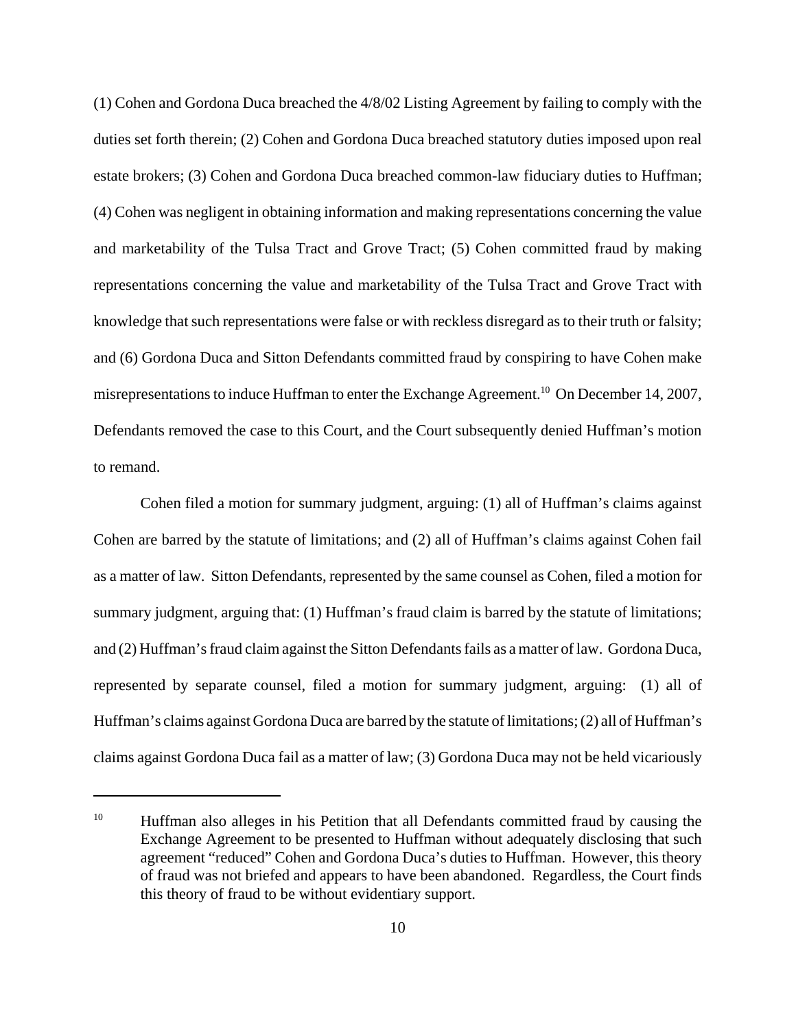(1) Cohen and Gordona Duca breached the 4/8/02 Listing Agreement by failing to comply with the duties set forth therein; (2) Cohen and Gordona Duca breached statutory duties imposed upon real estate brokers; (3) Cohen and Gordona Duca breached common-law fiduciary duties to Huffman; (4) Cohen was negligent in obtaining information and making representations concerning the value and marketability of the Tulsa Tract and Grove Tract; (5) Cohen committed fraud by making representations concerning the value and marketability of the Tulsa Tract and Grove Tract with knowledge that such representations were false or with reckless disregard as to their truth or falsity; and (6) Gordona Duca and Sitton Defendants committed fraud by conspiring to have Cohen make misrepresentations to induce Huffman to enter the Exchange Agreement.<sup>10</sup> On December 14, 2007, Defendants removed the case to this Court, and the Court subsequently denied Huffman's motion to remand.

Cohen filed a motion for summary judgment, arguing: (1) all of Huffman's claims against Cohen are barred by the statute of limitations; and (2) all of Huffman's claims against Cohen fail as a matter of law. Sitton Defendants, represented by the same counsel as Cohen, filed a motion for summary judgment, arguing that: (1) Huffman's fraud claim is barred by the statute of limitations; and (2) Huffman's fraud claim against the Sitton Defendants fails as a matter of law. Gordona Duca, represented by separate counsel, filed a motion for summary judgment, arguing: (1) all of Huffman's claims against Gordona Duca are barred by the statute of limitations; (2) all of Huffman's claims against Gordona Duca fail as a matter of law; (3) Gordona Duca may not be held vicariously

<sup>&</sup>lt;sup>10</sup> Huffman also alleges in his Petition that all Defendants committed fraud by causing the Exchange Agreement to be presented to Huffman without adequately disclosing that such agreement "reduced" Cohen and Gordona Duca's duties to Huffman. However, this theory of fraud was not briefed and appears to have been abandoned. Regardless, the Court finds this theory of fraud to be without evidentiary support.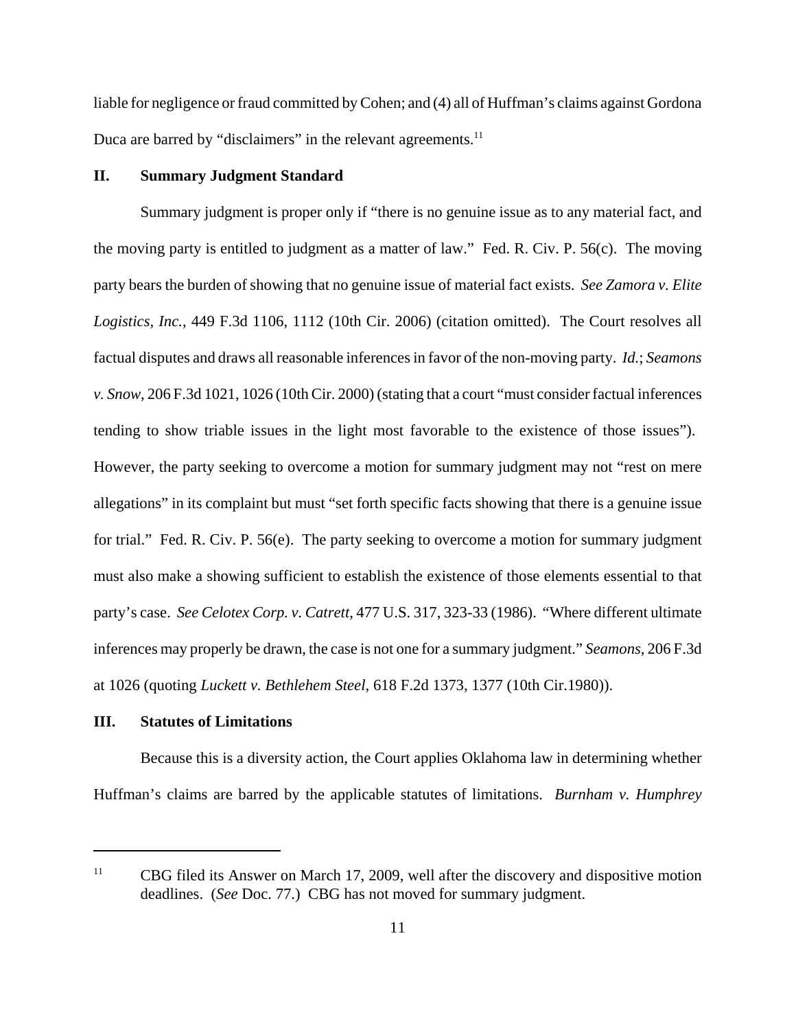liable for negligence or fraud committed by Cohen; and (4) all of Huffman's claims against Gordona Duca are barred by "disclaimers" in the relevant agreements.<sup>11</sup>

# **II. Summary Judgment Standard**

Summary judgment is proper only if "there is no genuine issue as to any material fact, and the moving party is entitled to judgment as a matter of law." Fed. R. Civ. P. 56(c). The moving party bears the burden of showing that no genuine issue of material fact exists. *See Zamora v. Elite Logistics, Inc.*, 449 F.3d 1106, 1112 (10th Cir. 2006) (citation omitted). The Court resolves all factual disputes and draws all reasonable inferencesin favor of the non-moving party. *Id.*; *Seamons v. Snow*, 206 F.3d 1021, 1026 (10th Cir. 2000) (stating that a court "must consider factual inferences tending to show triable issues in the light most favorable to the existence of those issues"). However, the party seeking to overcome a motion for summary judgment may not "rest on mere allegations" in its complaint but must "set forth specific facts showing that there is a genuine issue for trial." Fed. R. Civ. P. 56(e). The party seeking to overcome a motion for summary judgment must also make a showing sufficient to establish the existence of those elements essential to that party's case. *See Celotex Corp. v. Catrett*, 477 U.S. 317, 323-33 (1986). "Where different ultimate inferences may properly be drawn, the case is not one for a summary judgment." *Seamons*, 206 F.3d at 1026 (quoting *Luckett v. Bethlehem Steel*, 618 F.2d 1373, 1377 (10th Cir.1980)).

# **III. Statutes of Limitations**

Because this is a diversity action, the Court applies Oklahoma law in determining whether Huffman's claims are barred by the applicable statutes of limitations. *Burnham v. Humphrey*

<sup>&</sup>lt;sup>11</sup> CBG filed its Answer on March 17, 2009, well after the discovery and dispositive motion deadlines. (*See* Doc. 77.) CBG has not moved for summary judgment.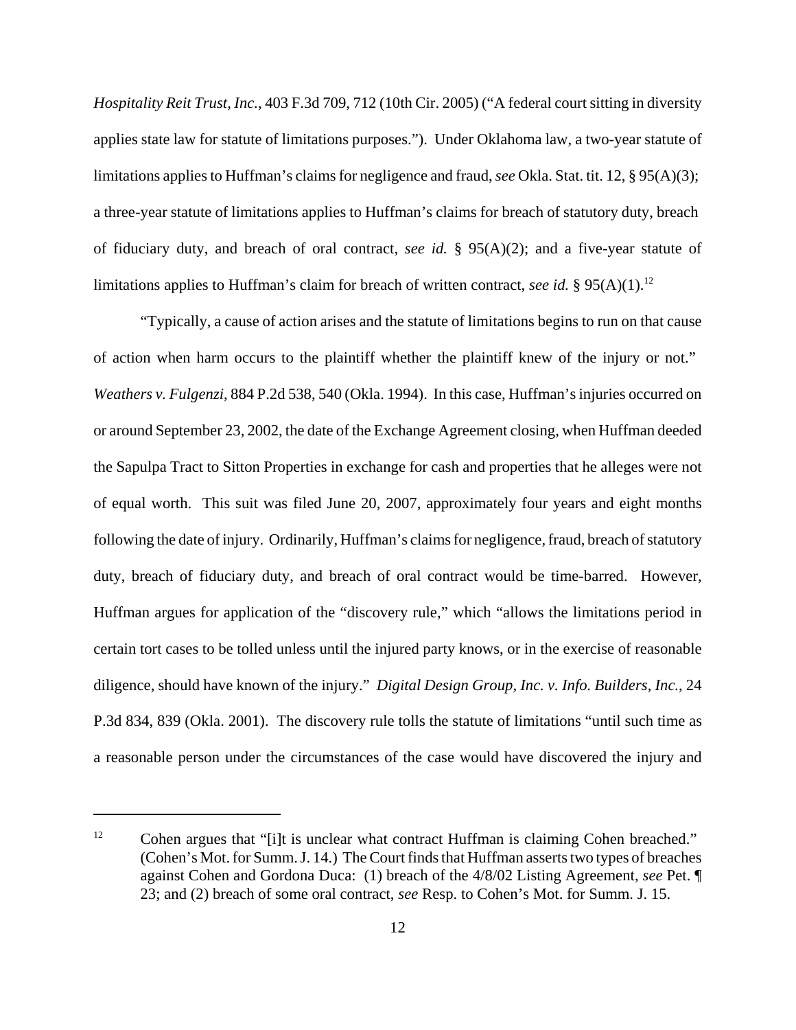*Hospitality Reit Trust, Inc.*, 403 F.3d 709, 712 (10th Cir. 2005) ("A federal court sitting in diversity applies state law for statute of limitations purposes."). Under Oklahoma law, a two-year statute of limitations applies to Huffman's claims for negligence and fraud, *see* Okla. Stat. tit. 12, § 95(A)(3); a three-year statute of limitations applies to Huffman's claims for breach of statutory duty, breach of fiduciary duty, and breach of oral contract, *see id.* § 95(A)(2); and a five-year statute of limitations applies to Huffman's claim for breach of written contract, *see id.* § 95(A)(1).<sup>12</sup>

"Typically, a cause of action arises and the statute of limitations begins to run on that cause of action when harm occurs to the plaintiff whether the plaintiff knew of the injury or not." *Weathers v. Fulgenzi*, 884 P.2d 538, 540 (Okla. 1994). In this case, Huffman's injuries occurred on or around September 23, 2002, the date of the Exchange Agreement closing, when Huffman deeded the Sapulpa Tract to Sitton Properties in exchange for cash and properties that he alleges were not of equal worth. This suit was filed June 20, 2007, approximately four years and eight months following the date of injury. Ordinarily, Huffman's claims for negligence, fraud, breach of statutory duty, breach of fiduciary duty, and breach of oral contract would be time-barred. However, Huffman argues for application of the "discovery rule," which "allows the limitations period in certain tort cases to be tolled unless until the injured party knows, or in the exercise of reasonable diligence, should have known of the injury." *Digital Design Group, Inc. v. Info. Builders, Inc.*, 24 P.3d 834, 839 (Okla. 2001). The discovery rule tolls the statute of limitations "until such time as a reasonable person under the circumstances of the case would have discovered the injury and

<sup>&</sup>lt;sup>12</sup> Cohen argues that "[i]t is unclear what contract Huffman is claiming Cohen breached." (Cohen's Mot. for Summ. J. 14.) The Court finds that Huffman asserts two types of breaches against Cohen and Gordona Duca: (1) breach of the 4/8/02 Listing Agreement, *see* Pet. ¶ 23; and (2) breach of some oral contract, *see* Resp. to Cohen's Mot. for Summ. J. 15.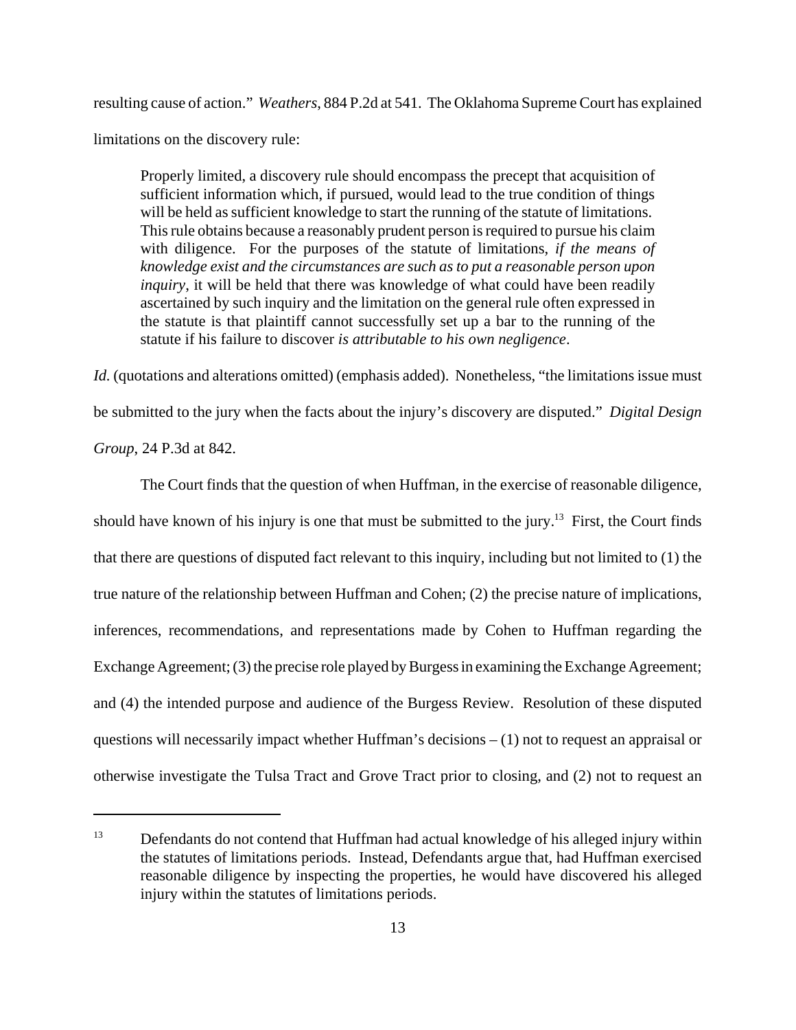resulting cause of action." *Weathers*, 884 P.2d at 541. The Oklahoma Supreme Court has explained limitations on the discovery rule:

Properly limited, a discovery rule should encompass the precept that acquisition of sufficient information which, if pursued, would lead to the true condition of things will be held as sufficient knowledge to start the running of the statute of limitations. This rule obtains because a reasonably prudent person is required to pursue his claim with diligence. For the purposes of the statute of limitations, *if the means of knowledge exist and the circumstances are such as to put a reasonable person upon inquiry*, it will be held that there was knowledge of what could have been readily ascertained by such inquiry and the limitation on the general rule often expressed in the statute is that plaintiff cannot successfully set up a bar to the running of the statute if his failure to discover *is attributable to his own negligence*.

*Id.* (quotations and alterations omitted) (emphasis added). Nonetheless, "the limitations issue must be submitted to the jury when the facts about the injury's discovery are disputed." *Digital Design Group*, 24 P.3d at 842.

The Court finds that the question of when Huffman, in the exercise of reasonable diligence, should have known of his injury is one that must be submitted to the jury.<sup>13</sup> First, the Court finds that there are questions of disputed fact relevant to this inquiry, including but not limited to (1) the true nature of the relationship between Huffman and Cohen; (2) the precise nature of implications, inferences, recommendations, and representations made by Cohen to Huffman regarding the Exchange Agreement; (3) the precise role played by Burgess in examining the Exchange Agreement; and (4) the intended purpose and audience of the Burgess Review. Resolution of these disputed questions will necessarily impact whether Huffman's decisions  $- (1)$  not to request an appraisal or otherwise investigate the Tulsa Tract and Grove Tract prior to closing, and (2) not to request an

<sup>&</sup>lt;sup>13</sup> Defendants do not contend that Huffman had actual knowledge of his alleged injury within the statutes of limitations periods. Instead, Defendants argue that, had Huffman exercised reasonable diligence by inspecting the properties, he would have discovered his alleged injury within the statutes of limitations periods.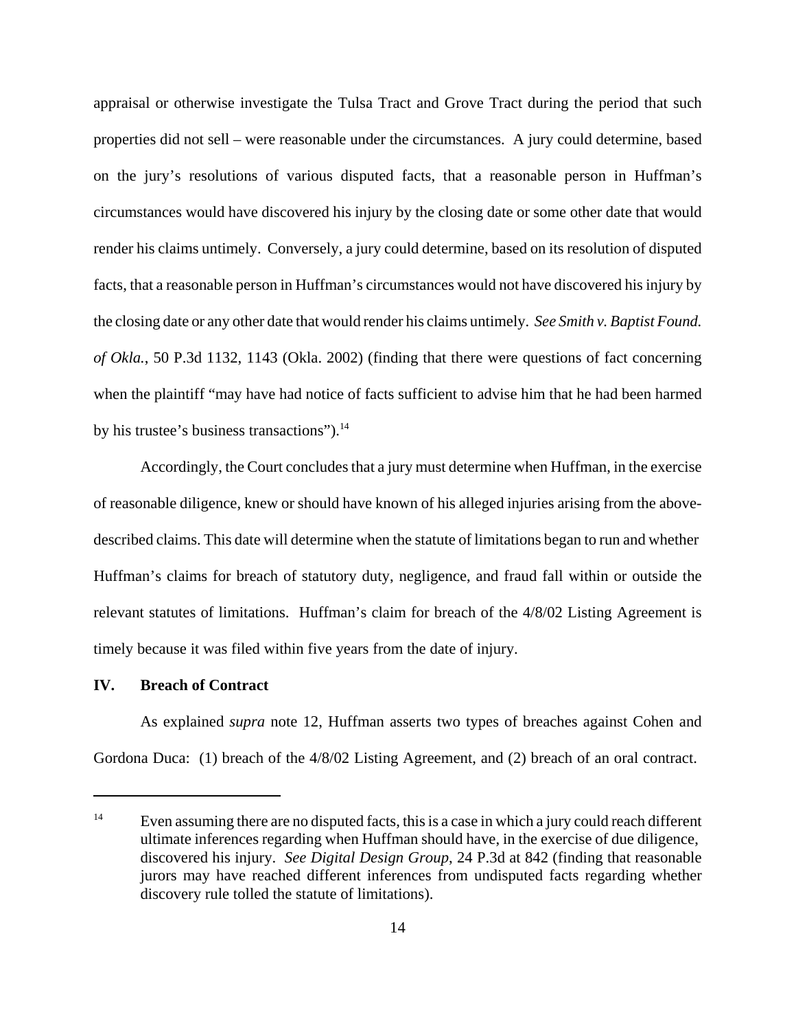appraisal or otherwise investigate the Tulsa Tract and Grove Tract during the period that such properties did not sell – were reasonable under the circumstances. A jury could determine, based on the jury's resolutions of various disputed facts, that a reasonable person in Huffman's circumstances would have discovered his injury by the closing date or some other date that would render his claims untimely. Conversely, a jury could determine, based on its resolution of disputed facts, that a reasonable person in Huffman's circumstances would not have discovered his injury by the closing date or any other date that would render his claims untimely. *See Smith v. Baptist Found. of Okla.*, 50 P.3d 1132, 1143 (Okla. 2002) (finding that there were questions of fact concerning when the plaintiff "may have had notice of facts sufficient to advise him that he had been harmed by his trustee's business transactions").<sup>14</sup>

Accordingly, the Court concludes that a jury must determine when Huffman, in the exercise of reasonable diligence, knew or should have known of his alleged injuries arising from the abovedescribed claims. This date will determine when the statute of limitations began to run and whether Huffman's claims for breach of statutory duty, negligence, and fraud fall within or outside the relevant statutes of limitations. Huffman's claim for breach of the 4/8/02 Listing Agreement is timely because it was filed within five years from the date of injury.

## **IV. Breach of Contract**

As explained *supra* note 12, Huffman asserts two types of breaches against Cohen and Gordona Duca: (1) breach of the 4/8/02 Listing Agreement, and (2) breach of an oral contract.

<sup>&</sup>lt;sup>14</sup> Even assuming there are no disputed facts, this is a case in which a jury could reach different ultimate inferences regarding when Huffman should have, in the exercise of due diligence, discovered his injury. *See Digital Design Group*, 24 P.3d at 842 (finding that reasonable jurors may have reached different inferences from undisputed facts regarding whether discovery rule tolled the statute of limitations).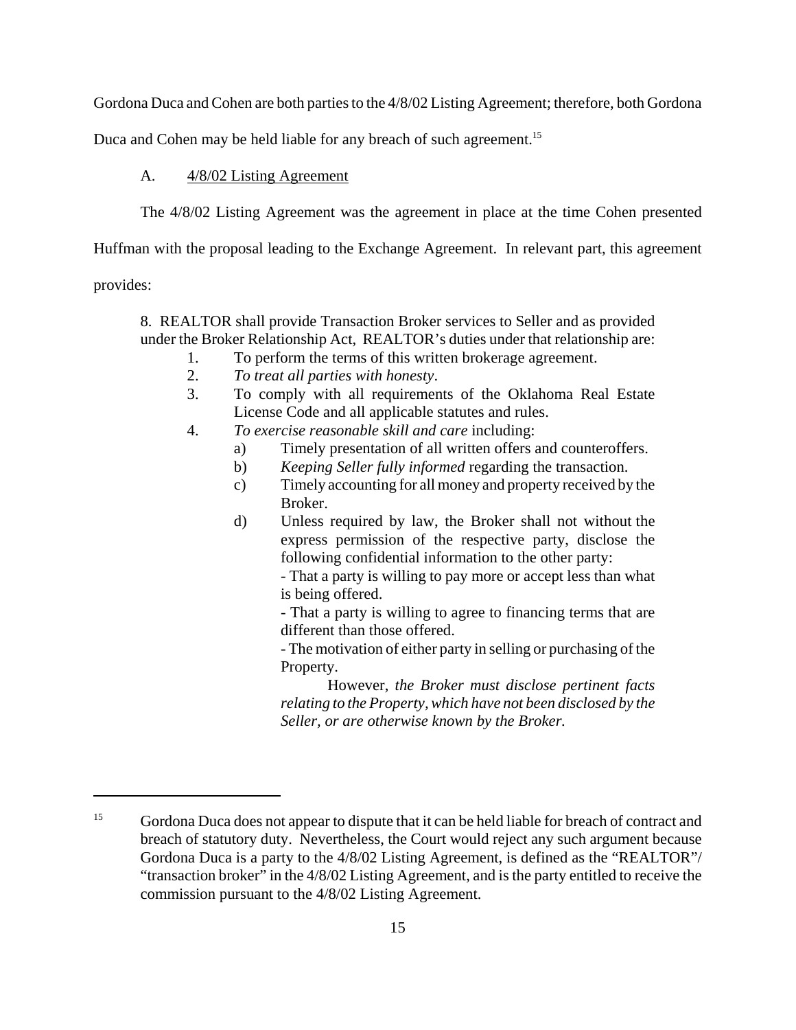Gordona Duca and Cohen are both parties to the 4/8/02 Listing Agreement; therefore, both Gordona

Duca and Cohen may be held liable for any breach of such agreement.<sup>15</sup>

# A.  $\frac{4/8}{02}$  Listing Agreement

The 4/8/02 Listing Agreement was the agreement in place at the time Cohen presented

Huffman with the proposal leading to the Exchange Agreement. In relevant part, this agreement

provides:

8. REALTOR shall provide Transaction Broker services to Seller and as provided under the Broker Relationship Act, REALTOR's duties under that relationship are:

- 1. To perform the terms of this written brokerage agreement.
- 2. *To treat all parties with honesty*.
- 3. To comply with all requirements of the Oklahoma Real Estate License Code and all applicable statutes and rules.
- 4. *To exercise reasonable skill and care* including:
	- a) Timely presentation of all written offers and counteroffers.
	- b) *Keeping Seller fully informed* regarding the transaction.
	- c) Timely accounting for all money and property received by the Broker.
	- d) Unless required by law, the Broker shall not without the express permission of the respective party, disclose the following confidential information to the other party:

- That a party is willing to pay more or accept less than what is being offered.

- That a party is willing to agree to financing terms that are different than those offered.

- The motivation of either party in selling or purchasing of the Property.

However, *the Broker must disclose pertinent facts relating to the Property, which have not been disclosed by the Seller, or are otherwise known by the Broker.*

<sup>&</sup>lt;sup>15</sup> Gordona Duca does not appear to dispute that it can be held liable for breach of contract and breach of statutory duty. Nevertheless, the Court would reject any such argument because Gordona Duca is a party to the 4/8/02 Listing Agreement, is defined as the "REALTOR"/ "transaction broker" in the 4/8/02 Listing Agreement, and is the party entitled to receive the commission pursuant to the 4/8/02 Listing Agreement.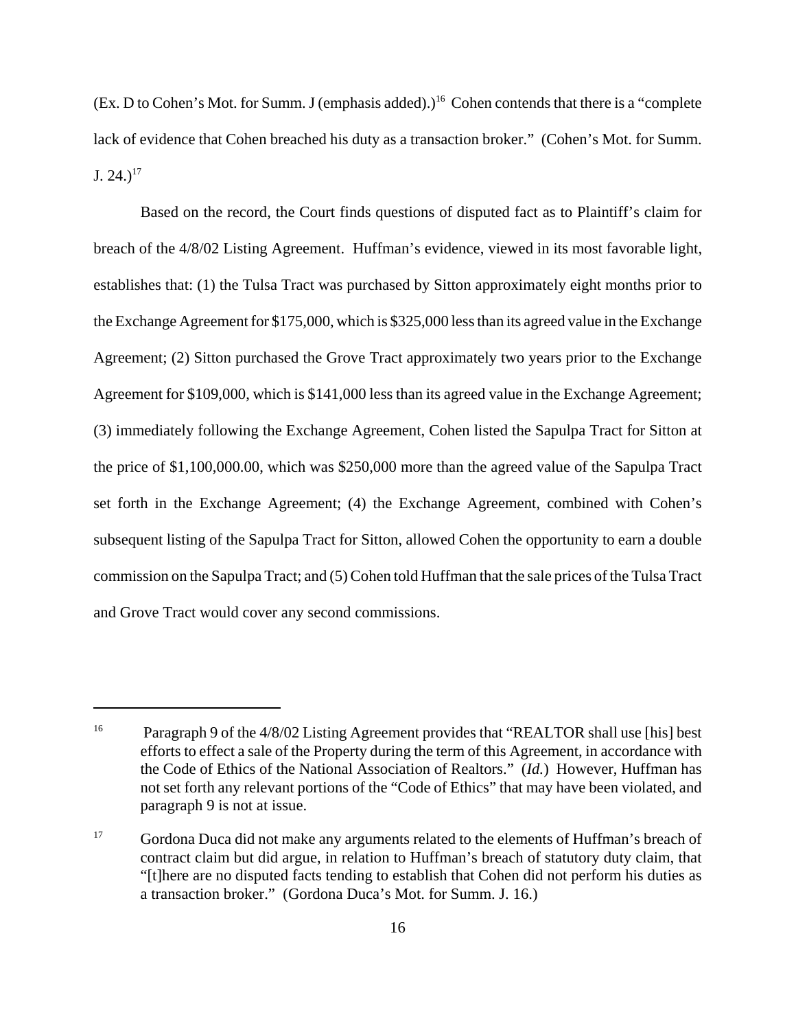(Ex. D to Cohen's Mot. for Summ. J (emphasis added).)<sup>16</sup> Cohen contends that there is a "complete" lack of evidence that Cohen breached his duty as a transaction broker." (Cohen's Mot. for Summ.  $J. 24.$ <sup>17</sup>

Based on the record, the Court finds questions of disputed fact as to Plaintiff's claim for breach of the 4/8/02 Listing Agreement. Huffman's evidence, viewed in its most favorable light, establishes that: (1) the Tulsa Tract was purchased by Sitton approximately eight months prior to the Exchange Agreement for \$175,000, which is \$325,000 less than its agreed value in the Exchange Agreement; (2) Sitton purchased the Grove Tract approximately two years prior to the Exchange Agreement for \$109,000, which is \$141,000 less than its agreed value in the Exchange Agreement; (3) immediately following the Exchange Agreement, Cohen listed the Sapulpa Tract for Sitton at the price of \$1,100,000.00, which was \$250,000 more than the agreed value of the Sapulpa Tract set forth in the Exchange Agreement; (4) the Exchange Agreement, combined with Cohen's subsequent listing of the Sapulpa Tract for Sitton, allowed Cohen the opportunity to earn a double commission on the Sapulpa Tract; and (5) Cohen told Huffman that the sale prices of the Tulsa Tract and Grove Tract would cover any second commissions.

<sup>&</sup>lt;sup>16</sup> Paragraph 9 of the 4/8/02 Listing Agreement provides that "REALTOR shall use [his] best efforts to effect a sale of the Property during the term of this Agreement, in accordance with the Code of Ethics of the National Association of Realtors." (*Id.*) However, Huffman has not set forth any relevant portions of the "Code of Ethics" that may have been violated, and paragraph 9 is not at issue.

<sup>&</sup>lt;sup>17</sup> Gordona Duca did not make any arguments related to the elements of Huffman's breach of contract claim but did argue, in relation to Huffman's breach of statutory duty claim, that "[t]here are no disputed facts tending to establish that Cohen did not perform his duties as a transaction broker." (Gordona Duca's Mot. for Summ. J. 16.)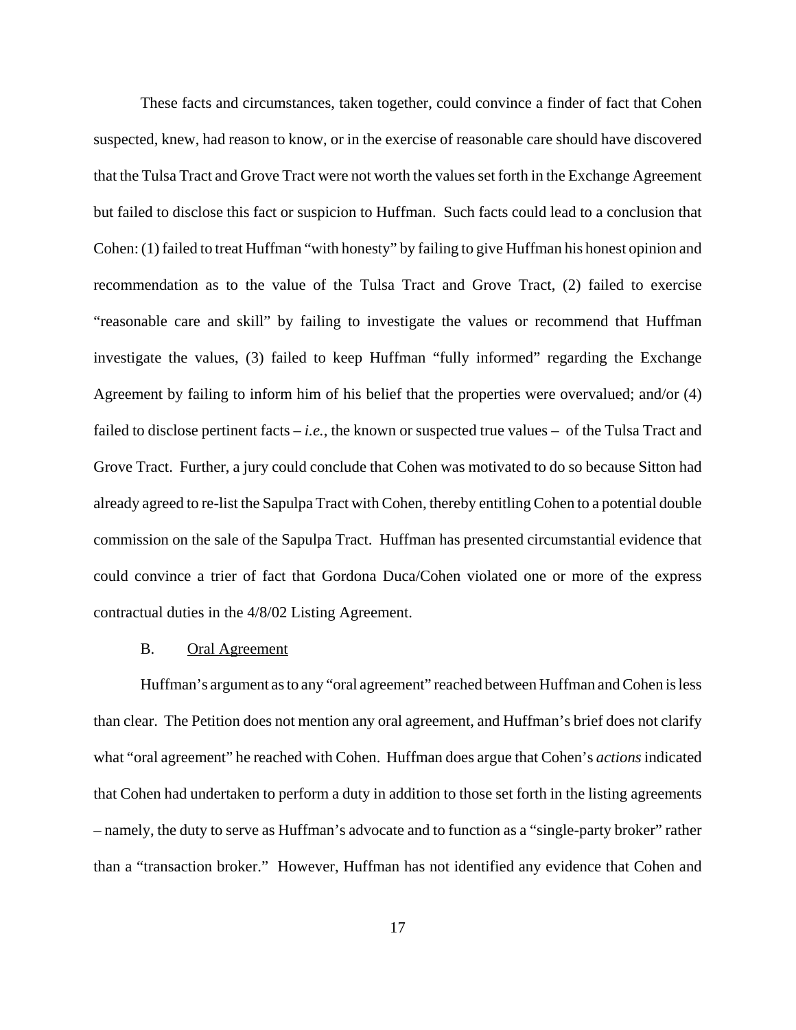These facts and circumstances, taken together, could convince a finder of fact that Cohen suspected, knew, had reason to know, or in the exercise of reasonable care should have discovered that the Tulsa Tract and Grove Tract were not worth the values set forth in the Exchange Agreement but failed to disclose this fact or suspicion to Huffman. Such facts could lead to a conclusion that Cohen: (1) failed to treat Huffman "with honesty" by failing to give Huffman his honest opinion and recommendation as to the value of the Tulsa Tract and Grove Tract, (2) failed to exercise "reasonable care and skill" by failing to investigate the values or recommend that Huffman investigate the values, (3) failed to keep Huffman "fully informed" regarding the Exchange Agreement by failing to inform him of his belief that the properties were overvalued; and/or (4) failed to disclose pertinent facts – *i.e.*, the known or suspected true values – of the Tulsa Tract and Grove Tract. Further, a jury could conclude that Cohen was motivated to do so because Sitton had already agreed to re-list the Sapulpa Tract with Cohen, thereby entitling Cohen to a potential double commission on the sale of the Sapulpa Tract. Huffman has presented circumstantial evidence that could convince a trier of fact that Gordona Duca/Cohen violated one or more of the express contractual duties in the 4/8/02 Listing Agreement.

## B. Oral Agreement

Huffman's argument as to any "oral agreement" reached between Huffman and Cohen is less than clear. The Petition does not mention any oral agreement, and Huffman's brief does not clarify what "oral agreement" he reached with Cohen. Huffman does argue that Cohen's *actions* indicated that Cohen had undertaken to perform a duty in addition to those set forth in the listing agreements – namely, the duty to serve as Huffman's advocate and to function as a "single-party broker" rather than a "transaction broker." However, Huffman has not identified any evidence that Cohen and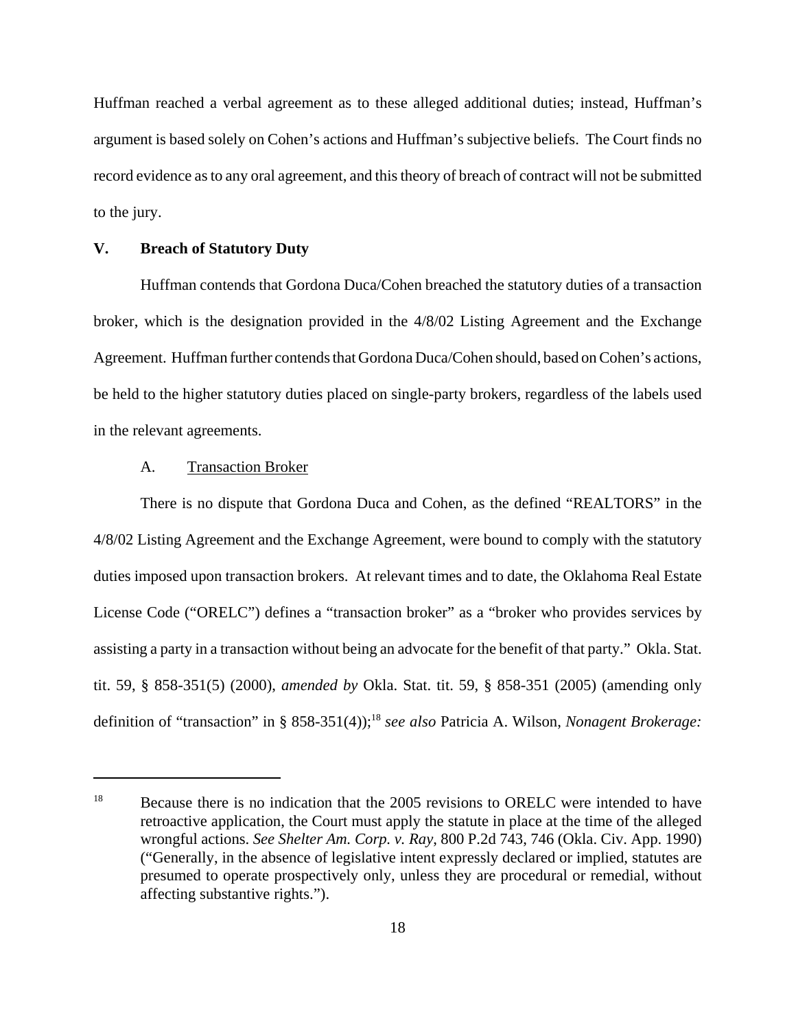Huffman reached a verbal agreement as to these alleged additional duties; instead, Huffman's argument is based solely on Cohen's actions and Huffman's subjective beliefs. The Court finds no record evidence as to any oral agreement, and this theory of breach of contract will not be submitted to the jury.

# **V. Breach of Statutory Duty**

Huffman contends that Gordona Duca/Cohen breached the statutory duties of a transaction broker, which is the designation provided in the 4/8/02 Listing Agreement and the Exchange Agreement. Huffman further contends that Gordona Duca/Cohen should, based on Cohen's actions, be held to the higher statutory duties placed on single-party brokers, regardless of the labels used in the relevant agreements.

# A. Transaction Broker

There is no dispute that Gordona Duca and Cohen, as the defined "REALTORS" in the 4/8/02 Listing Agreement and the Exchange Agreement, were bound to comply with the statutory duties imposed upon transaction brokers. At relevant times and to date, the Oklahoma Real Estate License Code ("ORELC") defines a "transaction broker" as a "broker who provides services by assisting a party in a transaction without being an advocate for the benefit of that party." Okla. Stat. tit. 59, § 858-351(5) (2000), *amended by* Okla. Stat. tit. 59, § 858-351 (2005) (amending only definition of "transaction" in § 858-351(4));<sup>18</sup> see also Patricia A. Wilson, *Nonagent Brokerage*:

<sup>&</sup>lt;sup>18</sup> Because there is no indication that the 2005 revisions to ORELC were intended to have retroactive application, the Court must apply the statute in place at the time of the alleged wrongful actions. *See Shelter Am. Corp. v. Ray*, 800 P.2d 743, 746 (Okla. Civ. App. 1990) ("Generally, in the absence of legislative intent expressly declared or implied, statutes are presumed to operate prospectively only, unless they are procedural or remedial, without affecting substantive rights.").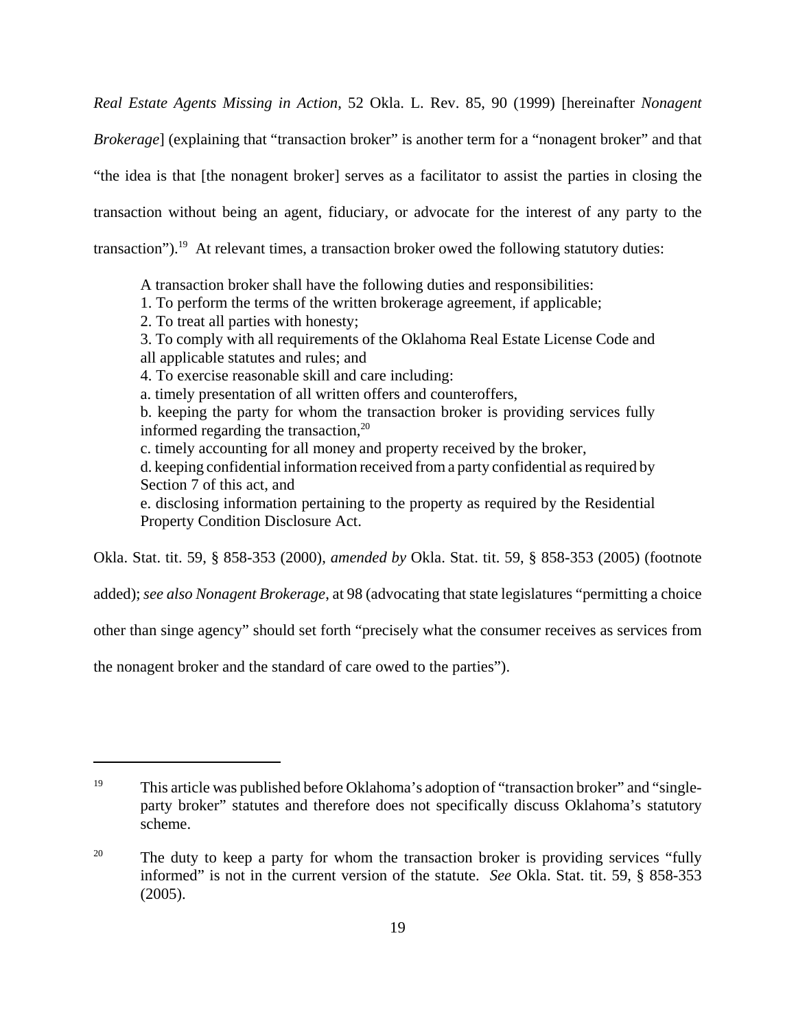*Real Estate Agents Missing in Action*, 52 Okla. L. Rev. 85, 90 (1999) [hereinafter *Nonagent Brokerage*] (explaining that "transaction broker" is another term for a "nonagent broker" and that "the idea is that [the nonagent broker] serves as a facilitator to assist the parties in closing the transaction without being an agent, fiduciary, or advocate for the interest of any party to the transaction").<sup>19</sup> At relevant times, a transaction broker owed the following statutory duties:

A transaction broker shall have the following duties and responsibilities:

- 1. To perform the terms of the written brokerage agreement, if applicable;
- 2. To treat all parties with honesty;

3. To comply with all requirements of the Oklahoma Real Estate License Code and all applicable statutes and rules; and

4. To exercise reasonable skill and care including:

a. timely presentation of all written offers and counteroffers,

b. keeping the party for whom the transaction broker is providing services fully informed regarding the transaction, $20$ 

c. timely accounting for all money and property received by the broker,

d. keeping confidential information received from a party confidential as required by Section 7 of this act, and

e. disclosing information pertaining to the property as required by the Residential Property Condition Disclosure Act.

Okla. Stat. tit. 59, § 858-353 (2000), *amended by* Okla. Stat. tit. 59, § 858-353 (2005) (footnote

added); *see also Nonagent Brokerage*, at 98 (advocating that state legislatures "permitting a choice

other than singe agency" should set forth "precisely what the consumer receives as services from

the nonagent broker and the standard of care owed to the parties").

<sup>&</sup>lt;sup>19</sup> This article was published before Oklahoma's adoption of "transaction broker" and "singleparty broker" statutes and therefore does not specifically discuss Oklahoma's statutory scheme.

<sup>&</sup>lt;sup>20</sup> The duty to keep a party for whom the transaction broker is providing services "fully" informed" is not in the current version of the statute. *See* Okla. Stat. tit. 59, § 858-353 (2005).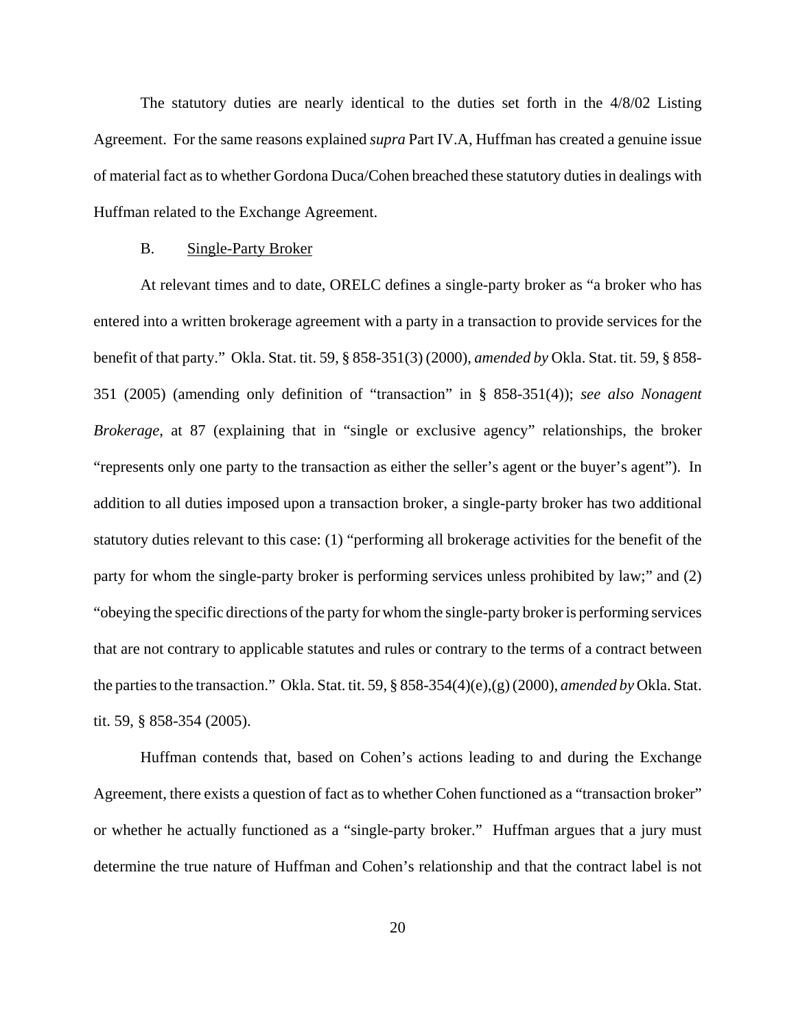The statutory duties are nearly identical to the duties set forth in the 4/8/02 Listing Agreement. For the same reasons explained *supra* Part IV.A, Huffman has created a genuine issue of material fact as to whether Gordona Duca/Cohen breached these statutory duties in dealings with Huffman related to the Exchange Agreement.

#### B. Single-Party Broker

At relevant times and to date, ORELC defines a single-party broker as "a broker who has entered into a written brokerage agreement with a party in a transaction to provide services for the benefit of that party." Okla. Stat. tit. 59, § 858-351(3) (2000), *amended by* Okla. Stat. tit. 59, § 858- 351 (2005) (amending only definition of "transaction" in § 858-351(4)); *see also Nonagent Brokerage*, at 87 (explaining that in "single or exclusive agency" relationships, the broker "represents only one party to the transaction as either the seller's agent or the buyer's agent"). In addition to all duties imposed upon a transaction broker, a single-party broker has two additional statutory duties relevant to this case: (1) "performing all brokerage activities for the benefit of the party for whom the single-party broker is performing services unless prohibited by law;" and (2) "obeying the specific directions of the party for whom the single-party broker is performing services that are not contrary to applicable statutes and rules or contrary to the terms of a contract between the parties to the transaction." Okla. Stat. tit. 59, § 858-354(4)(e),(g) (2000), *amended by* Okla. Stat. tit. 59, § 858-354 (2005).

Huffman contends that, based on Cohen's actions leading to and during the Exchange Agreement, there exists a question of fact as to whether Cohen functioned as a "transaction broker" or whether he actually functioned as a "single-party broker." Huffman argues that a jury must determine the true nature of Huffman and Cohen's relationship and that the contract label is not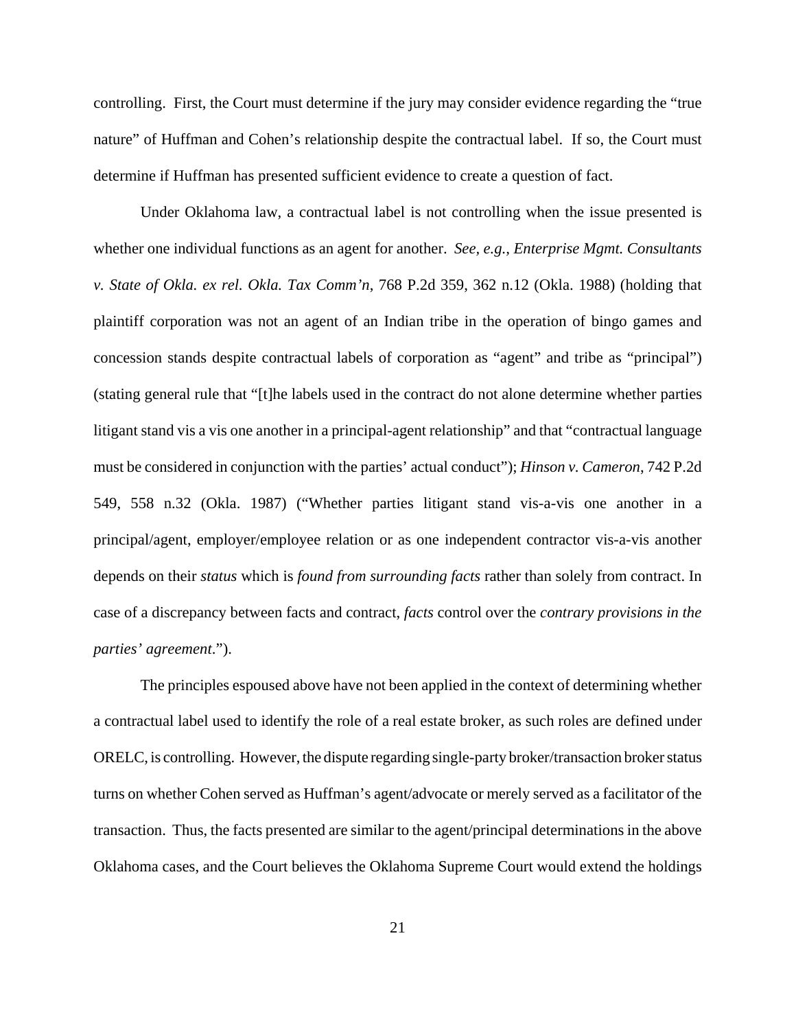controlling. First, the Court must determine if the jury may consider evidence regarding the "true nature" of Huffman and Cohen's relationship despite the contractual label. If so, the Court must determine if Huffman has presented sufficient evidence to create a question of fact.

Under Oklahoma law, a contractual label is not controlling when the issue presented is whether one individual functions as an agent for another. *See, e.g., Enterprise Mgmt. Consultants v. State of Okla. ex rel. Okla. Tax Comm'n*, 768 P.2d 359, 362 n.12 (Okla. 1988) (holding that plaintiff corporation was not an agent of an Indian tribe in the operation of bingo games and concession stands despite contractual labels of corporation as "agent" and tribe as "principal") (stating general rule that "[t]he labels used in the contract do not alone determine whether parties litigant stand vis a vis one another in a principal-agent relationship" and that "contractual language must be considered in conjunction with the parties' actual conduct"); *Hinson v. Cameron*, 742 P.2d 549, 558 n.32 (Okla. 1987) ("Whether parties litigant stand vis-a-vis one another in a principal/agent, employer/employee relation or as one independent contractor vis-a-vis another depends on their *status* which is *found from surrounding facts* rather than solely from contract. In case of a discrepancy between facts and contract, *facts* control over the *contrary provisions in the parties' agreement*.").

The principles espoused above have not been applied in the context of determining whether a contractual label used to identify the role of a real estate broker, as such roles are defined under ORELC, is controlling. However, the dispute regarding single-party broker/transaction broker status turns on whether Cohen served as Huffman's agent/advocate or merely served as a facilitator of the transaction. Thus, the facts presented are similar to the agent/principal determinations in the above Oklahoma cases, and the Court believes the Oklahoma Supreme Court would extend the holdings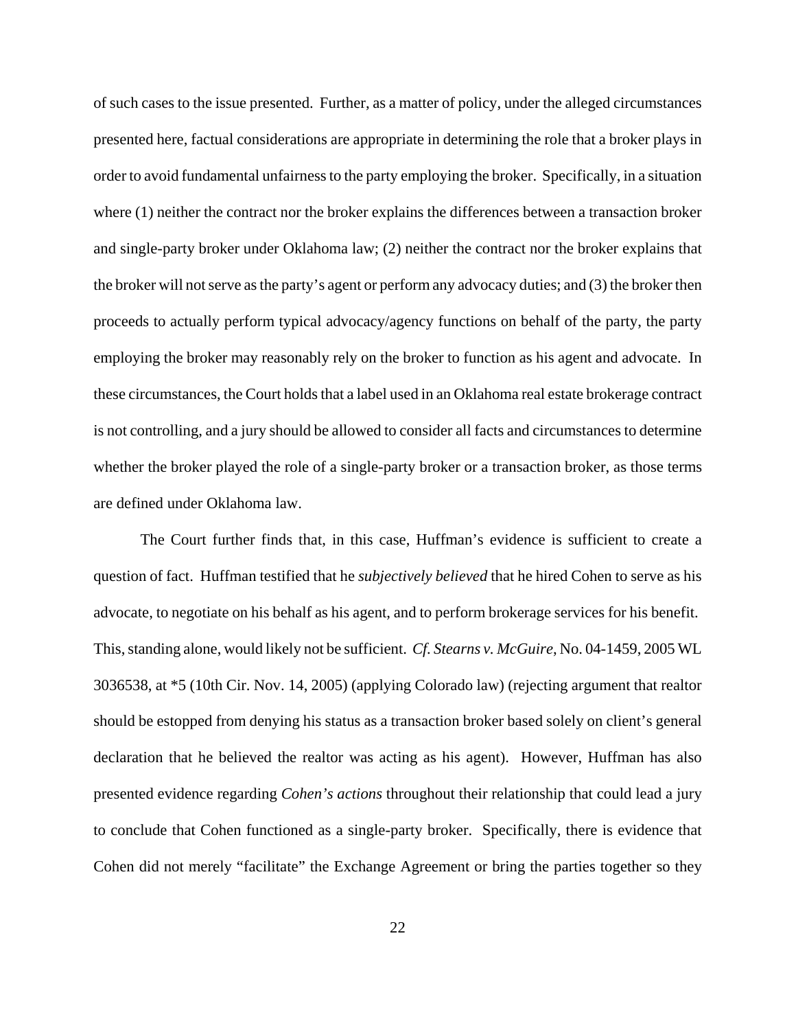of such cases to the issue presented. Further, as a matter of policy, under the alleged circumstances presented here, factual considerations are appropriate in determining the role that a broker plays in order to avoid fundamental unfairness to the party employing the broker. Specifically, in a situation where (1) neither the contract nor the broker explains the differences between a transaction broker and single-party broker under Oklahoma law; (2) neither the contract nor the broker explains that the broker will not serve as the party's agent or perform any advocacy duties; and (3) the broker then proceeds to actually perform typical advocacy/agency functions on behalf of the party, the party employing the broker may reasonably rely on the broker to function as his agent and advocate. In these circumstances, the Court holds that a label used in an Oklahoma real estate brokerage contract is not controlling, and a jury should be allowed to consider all facts and circumstances to determine whether the broker played the role of a single-party broker or a transaction broker, as those terms are defined under Oklahoma law.

The Court further finds that, in this case, Huffman's evidence is sufficient to create a question of fact. Huffman testified that he *subjectively believed* that he hired Cohen to serve as his advocate, to negotiate on his behalf as his agent, and to perform brokerage services for his benefit. This, standing alone, would likely not be sufficient. *Cf. Stearns v. McGuire*, No. 04-1459, 2005 WL 3036538, at \*5 (10th Cir. Nov. 14, 2005) (applying Colorado law) (rejecting argument that realtor should be estopped from denying his status as a transaction broker based solely on client's general declaration that he believed the realtor was acting as his agent). However, Huffman has also presented evidence regarding *Cohen's actions* throughout their relationship that could lead a jury to conclude that Cohen functioned as a single-party broker. Specifically, there is evidence that Cohen did not merely "facilitate" the Exchange Agreement or bring the parties together so they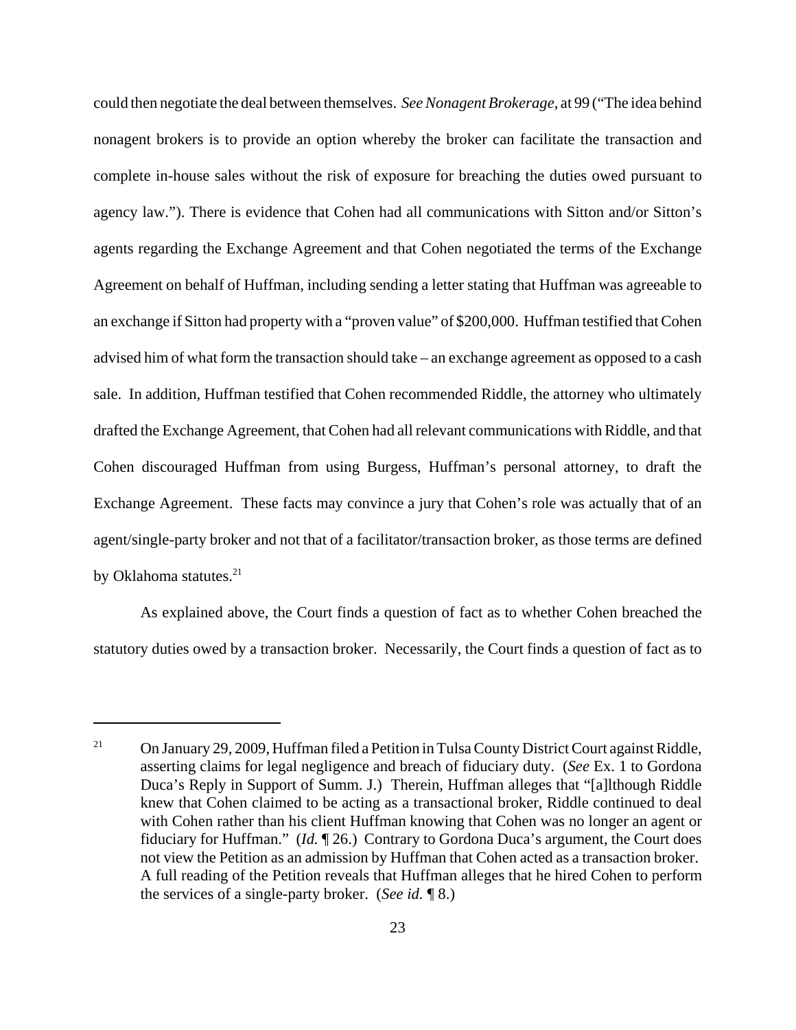could then negotiate the deal between themselves. *See Nonagent Brokerage*, at 99 ("The idea behind nonagent brokers is to provide an option whereby the broker can facilitate the transaction and complete in-house sales without the risk of exposure for breaching the duties owed pursuant to agency law."). There is evidence that Cohen had all communications with Sitton and/or Sitton's agents regarding the Exchange Agreement and that Cohen negotiated the terms of the Exchange Agreement on behalf of Huffman, including sending a letter stating that Huffman was agreeable to an exchange if Sitton had property with a "proven value" of \$200,000. Huffman testified that Cohen advised him of what form the transaction should take – an exchange agreement as opposed to a cash sale. In addition, Huffman testified that Cohen recommended Riddle, the attorney who ultimately drafted the Exchange Agreement, that Cohen had all relevant communications with Riddle, and that Cohen discouraged Huffman from using Burgess, Huffman's personal attorney, to draft the Exchange Agreement. These facts may convince a jury that Cohen's role was actually that of an agent/single-party broker and not that of a facilitator/transaction broker, as those terms are defined by Oklahoma statutes.<sup>21</sup>

As explained above, the Court finds a question of fact as to whether Cohen breached the statutory duties owed by a transaction broker. Necessarily, the Court finds a question of fact as to

<sup>&</sup>lt;sup>21</sup> On January 29, 2009, Huffman filed a Petition in Tulsa County District Court against Riddle, asserting claims for legal negligence and breach of fiduciary duty. (*See* Ex. 1 to Gordona Duca's Reply in Support of Summ. J.) Therein, Huffman alleges that "[a]lthough Riddle knew that Cohen claimed to be acting as a transactional broker, Riddle continued to deal with Cohen rather than his client Huffman knowing that Cohen was no longer an agent or fiduciary for Huffman." (*Id.* ¶ 26.) Contrary to Gordona Duca's argument, the Court does not view the Petition as an admission by Huffman that Cohen acted as a transaction broker. A full reading of the Petition reveals that Huffman alleges that he hired Cohen to perform the services of a single-party broker. (*See id.* ¶ 8.)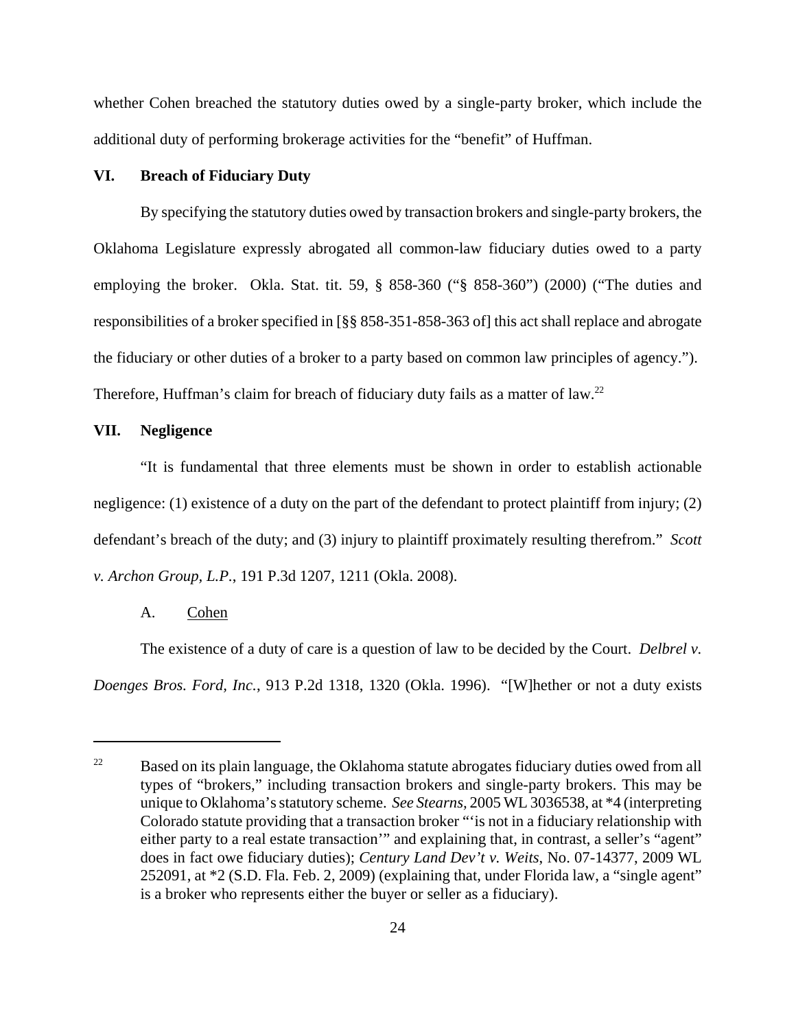whether Cohen breached the statutory duties owed by a single-party broker, which include the additional duty of performing brokerage activities for the "benefit" of Huffman.

## **VI. Breach of Fiduciary Duty**

By specifying the statutory duties owed by transaction brokers and single-party brokers, the Oklahoma Legislature expressly abrogated all common-law fiduciary duties owed to a party employing the broker. Okla. Stat. tit. 59, § 858-360 ("§ 858-360") (2000) ("The duties and responsibilities of a broker specified in [§§ 858-351-858-363 of] this act shall replace and abrogate the fiduciary or other duties of a broker to a party based on common law principles of agency."). Therefore, Huffman's claim for breach of fiduciary duty fails as a matter of law.<sup>22</sup>

## **VII. Negligence**

"It is fundamental that three elements must be shown in order to establish actionable negligence: (1) existence of a duty on the part of the defendant to protect plaintiff from injury; (2) defendant's breach of the duty; and (3) injury to plaintiff proximately resulting therefrom." *Scott v. Archon Group, L.P.*, 191 P.3d 1207, 1211 (Okla. 2008).

### A. Cohen

The existence of a duty of care is a question of law to be decided by the Court. *Delbrel v. Doenges Bros. Ford, Inc.*, 913 P.2d 1318, 1320 (Okla. 1996). "[W]hether or not a duty exists

<sup>&</sup>lt;sup>22</sup> Based on its plain language, the Oklahoma statute abrogates fiduciary duties owed from all types of "brokers," including transaction brokers and single-party brokers. This may be unique to Oklahoma's statutory scheme. *See Stearns,* 2005 WL 3036538, at \*4 (interpreting Colorado statute providing that a transaction broker "'is not in a fiduciary relationship with either party to a real estate transaction'" and explaining that, in contrast, a seller's "agent" does in fact owe fiduciary duties); *Century Land Dev't v. Weits*, No. 07-14377, 2009 WL 252091, at \*2 (S.D. Fla. Feb. 2, 2009) (explaining that, under Florida law, a "single agent" is a broker who represents either the buyer or seller as a fiduciary).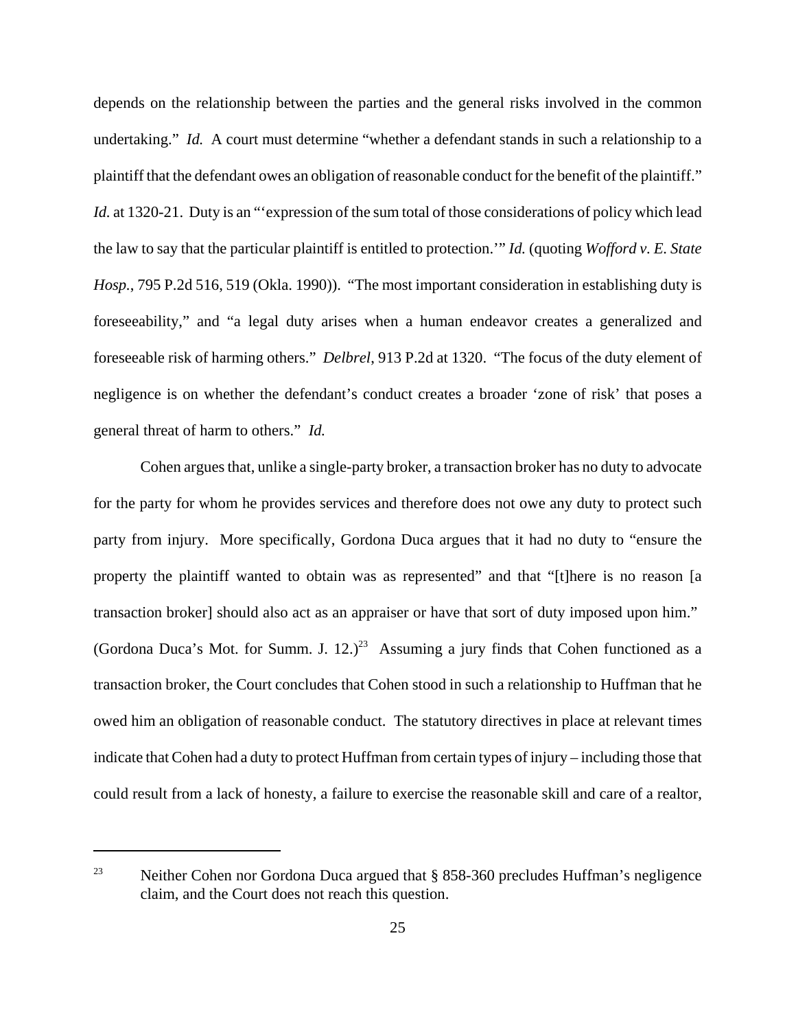depends on the relationship between the parties and the general risks involved in the common undertaking." *Id.* A court must determine "whether a defendant stands in such a relationship to a plaintiff that the defendant owes an obligation of reasonable conduct for the benefit of the plaintiff." *Id.* at 1320-21. Duty is an "expression of the sum total of those considerations of policy which lead the law to say that the particular plaintiff is entitled to protection.'" *Id.* (quoting *Wofford v. E. State Hosp.*, 795 P.2d 516, 519 (Okla. 1990)). "The most important consideration in establishing duty is foreseeability," and "a legal duty arises when a human endeavor creates a generalized and foreseeable risk of harming others." *Delbrel*, 913 P.2d at 1320. "The focus of the duty element of negligence is on whether the defendant's conduct creates a broader 'zone of risk' that poses a general threat of harm to others." *Id.*

Cohen argues that, unlike a single-party broker, a transaction broker has no duty to advocate for the party for whom he provides services and therefore does not owe any duty to protect such party from injury. More specifically, Gordona Duca argues that it had no duty to "ensure the property the plaintiff wanted to obtain was as represented" and that "[t]here is no reason [a transaction broker] should also act as an appraiser or have that sort of duty imposed upon him." (Gordona Duca's Mot. for Summ. J.  $12.2^{3}$  Assuming a jury finds that Cohen functioned as a transaction broker, the Court concludes that Cohen stood in such a relationship to Huffman that he owed him an obligation of reasonable conduct. The statutory directives in place at relevant times indicate that Cohen had a duty to protect Huffman from certain types of injury – including those that could result from a lack of honesty, a failure to exercise the reasonable skill and care of a realtor,

<sup>&</sup>lt;sup>23</sup> Neither Cohen nor Gordona Duca argued that  $\S$  858-360 precludes Huffman's negligence claim, and the Court does not reach this question.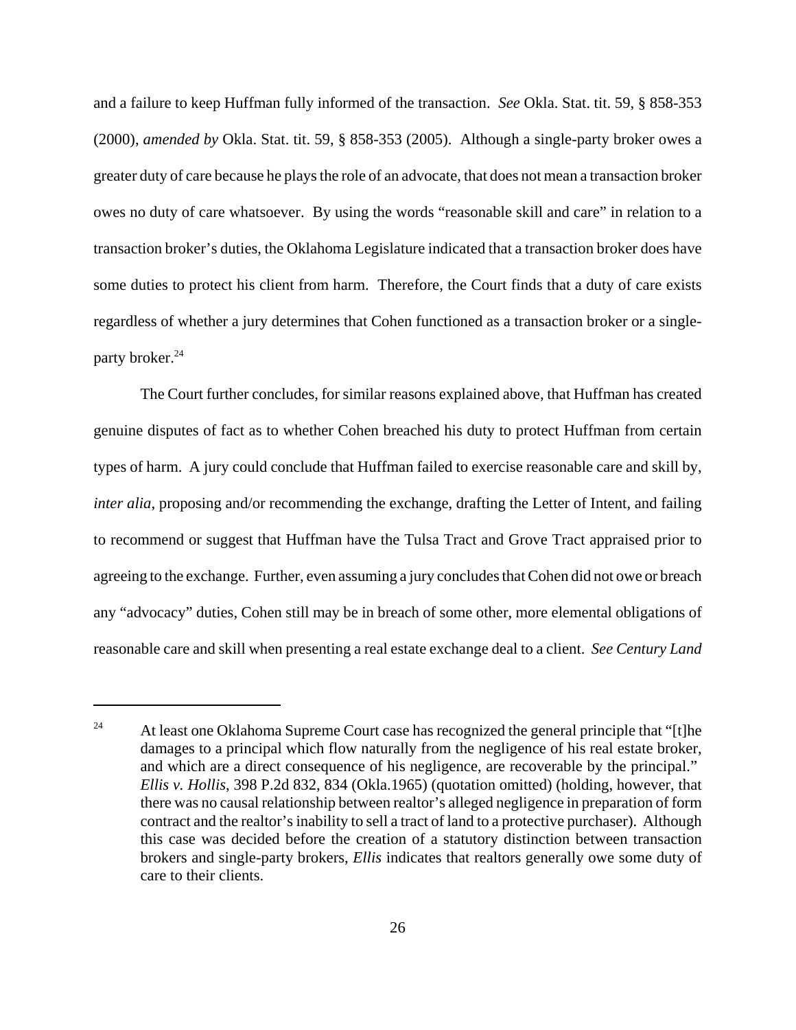and a failure to keep Huffman fully informed of the transaction. *See* Okla. Stat. tit. 59, § 858-353 (2000), *amended by* Okla. Stat. tit. 59, § 858-353 (2005). Although a single-party broker owes a greater duty of care because he plays the role of an advocate, that does not mean a transaction broker owes no duty of care whatsoever. By using the words "reasonable skill and care" in relation to a transaction broker's duties, the Oklahoma Legislature indicated that a transaction broker does have some duties to protect his client from harm. Therefore, the Court finds that a duty of care exists regardless of whether a jury determines that Cohen functioned as a transaction broker or a singleparty broker.<sup>24</sup>

The Court further concludes, for similar reasons explained above, that Huffman has created genuine disputes of fact as to whether Cohen breached his duty to protect Huffman from certain types of harm. A jury could conclude that Huffman failed to exercise reasonable care and skill by, *inter alia*, proposing and/or recommending the exchange, drafting the Letter of Intent, and failing to recommend or suggest that Huffman have the Tulsa Tract and Grove Tract appraised prior to agreeing to the exchange. Further, even assuming a jury concludes that Cohen did not owe or breach any "advocacy" duties, Cohen still may be in breach of some other, more elemental obligations of reasonable care and skill when presenting a real estate exchange deal to a client. *See Century Land*

<sup>&</sup>lt;sup>24</sup> At least one Oklahoma Supreme Court case has recognized the general principle that "[t]he damages to a principal which flow naturally from the negligence of his real estate broker, and which are a direct consequence of his negligence, are recoverable by the principal." *Ellis v. Hollis*, 398 P.2d 832, 834 (Okla.1965) (quotation omitted) (holding, however, that there was no causal relationship between realtor's alleged negligence in preparation of form contract and the realtor's inability to sell a tract of land to a protective purchaser). Although this case was decided before the creation of a statutory distinction between transaction brokers and single-party brokers, *Ellis* indicates that realtors generally owe some duty of care to their clients.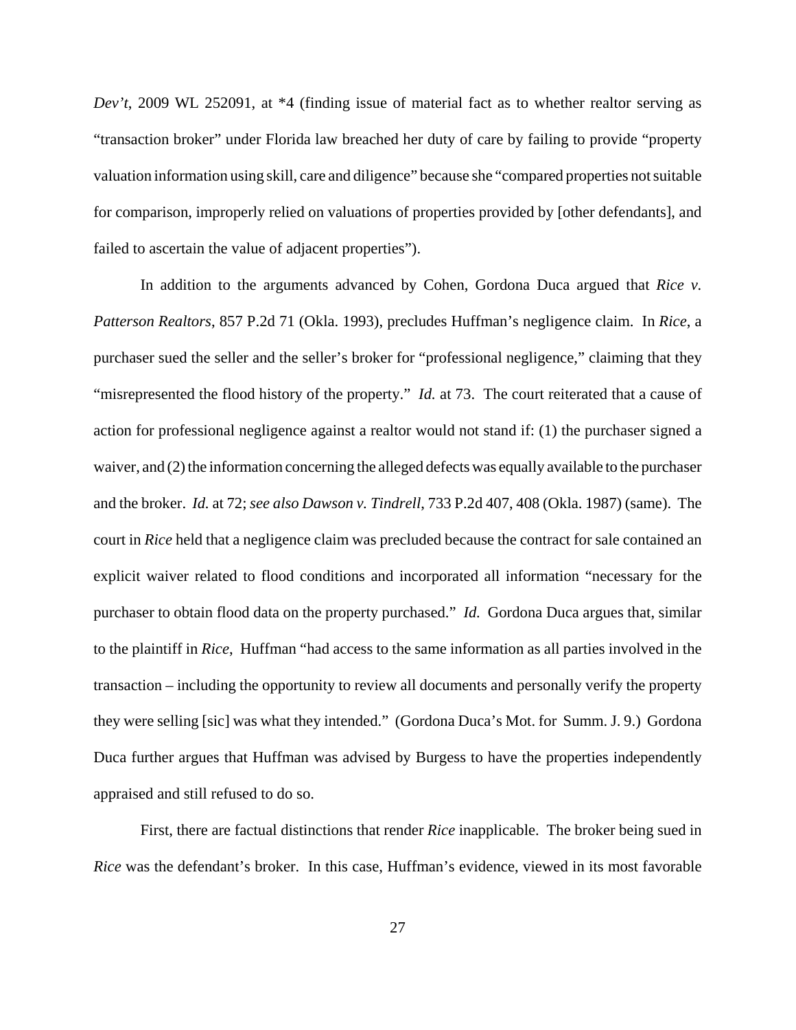*Dev't*, 2009 WL 252091, at \*4 (finding issue of material fact as to whether realtor serving as "transaction broker" under Florida law breached her duty of care by failing to provide "property valuation information using skill, care and diligence" because she "compared properties not suitable for comparison, improperly relied on valuations of properties provided by [other defendants], and failed to ascertain the value of adjacent properties").

In addition to the arguments advanced by Cohen, Gordona Duca argued that *Rice v. Patterson Realtors*, 857 P.2d 71 (Okla. 1993), precludes Huffman's negligence claim. In *Rice*, a purchaser sued the seller and the seller's broker for "professional negligence," claiming that they "misrepresented the flood history of the property." *Id.* at 73. The court reiterated that a cause of action for professional negligence against a realtor would not stand if: (1) the purchaser signed a waiver, and (2) the information concerning the alleged defects was equally available to the purchaser and the broker. *Id.* at 72; *see also Dawson v. Tindrell*, 733 P.2d 407, 408 (Okla. 1987) (same). The court in *Rice* held that a negligence claim was precluded because the contract for sale contained an explicit waiver related to flood conditions and incorporated all information "necessary for the purchaser to obtain flood data on the property purchased." *Id.* Gordona Duca argues that, similar to the plaintiff in *Rice*, Huffman "had access to the same information as all parties involved in the transaction – including the opportunity to review all documents and personally verify the property they were selling [sic] was what they intended." (Gordona Duca's Mot. for Summ. J. 9.) Gordona Duca further argues that Huffman was advised by Burgess to have the properties independently appraised and still refused to do so.

First, there are factual distinctions that render *Rice* inapplicable. The broker being sued in *Rice* was the defendant's broker. In this case, Huffman's evidence, viewed in its most favorable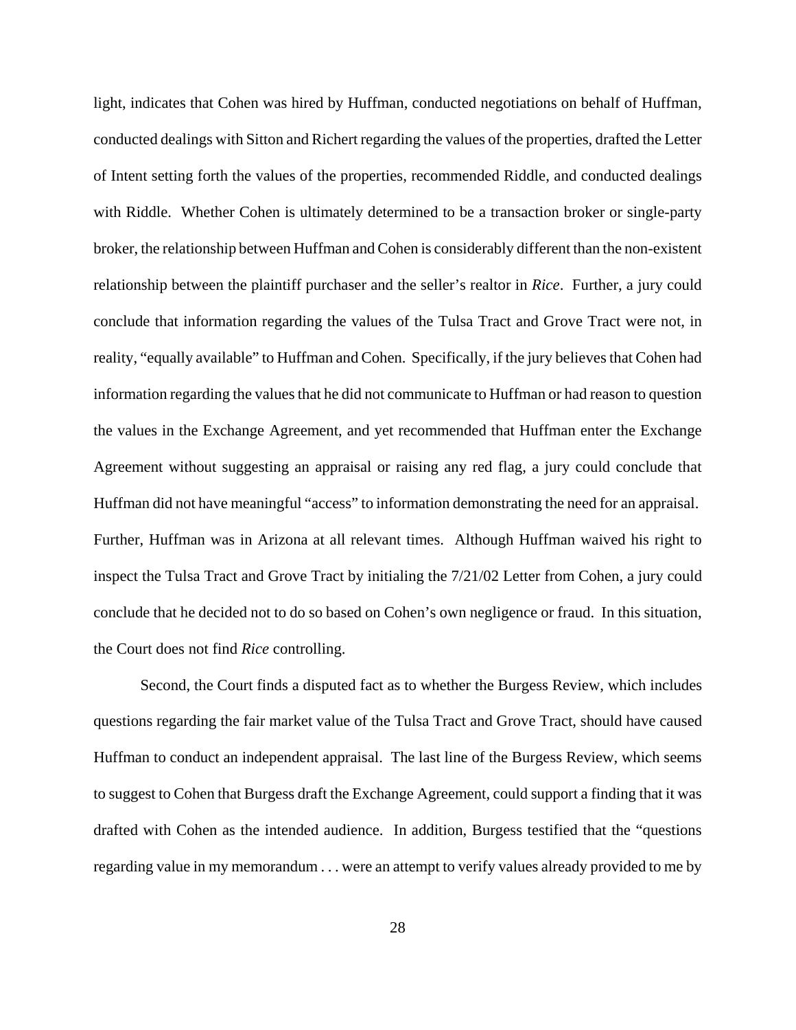light, indicates that Cohen was hired by Huffman, conducted negotiations on behalf of Huffman, conducted dealings with Sitton and Richert regarding the values of the properties, drafted the Letter of Intent setting forth the values of the properties, recommended Riddle, and conducted dealings with Riddle. Whether Cohen is ultimately determined to be a transaction broker or single-party broker, the relationship between Huffman and Cohen is considerably different than the non-existent relationship between the plaintiff purchaser and the seller's realtor in *Rice*. Further, a jury could conclude that information regarding the values of the Tulsa Tract and Grove Tract were not, in reality, "equally available" to Huffman and Cohen. Specifically, if the jury believes that Cohen had information regarding the values that he did not communicate to Huffman or had reason to question the values in the Exchange Agreement, and yet recommended that Huffman enter the Exchange Agreement without suggesting an appraisal or raising any red flag, a jury could conclude that Huffman did not have meaningful "access" to information demonstrating the need for an appraisal. Further, Huffman was in Arizona at all relevant times. Although Huffman waived his right to inspect the Tulsa Tract and Grove Tract by initialing the 7/21/02 Letter from Cohen, a jury could conclude that he decided not to do so based on Cohen's own negligence or fraud. In this situation, the Court does not find *Rice* controlling.

Second, the Court finds a disputed fact as to whether the Burgess Review, which includes questions regarding the fair market value of the Tulsa Tract and Grove Tract, should have caused Huffman to conduct an independent appraisal. The last line of the Burgess Review, which seems to suggest to Cohen that Burgess draft the Exchange Agreement, could support a finding that it was drafted with Cohen as the intended audience. In addition, Burgess testified that the "questions regarding value in my memorandum . . . were an attempt to verify values already provided to me by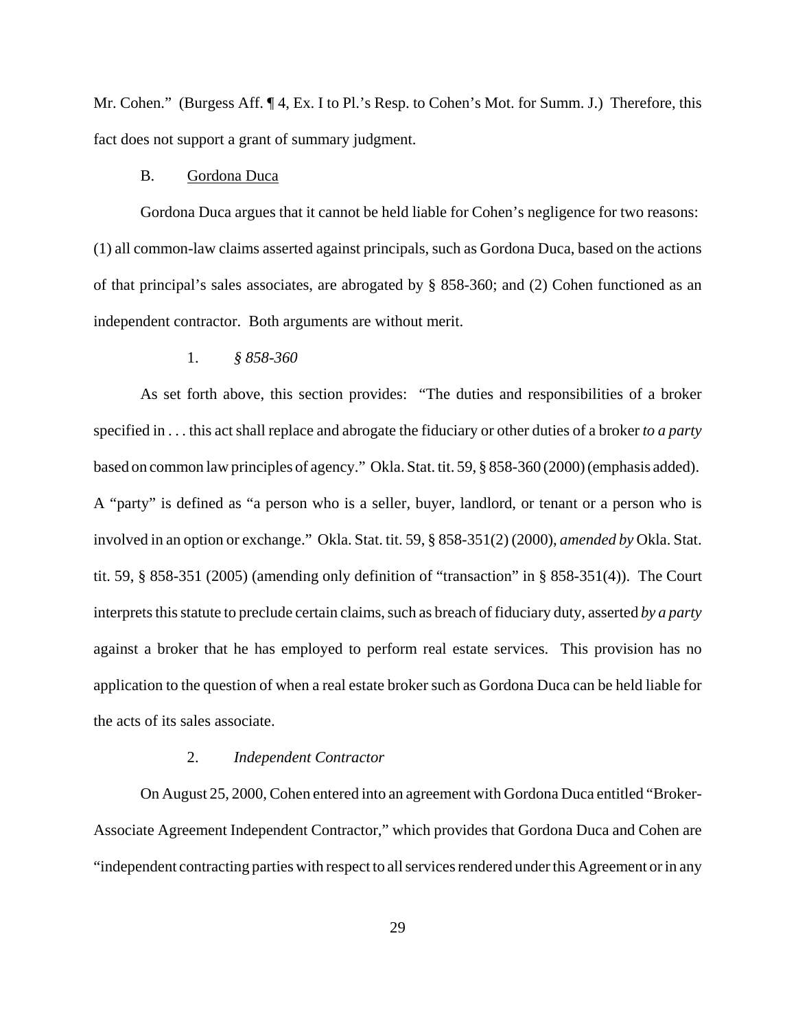Mr. Cohen." (Burgess Aff. ¶ 4, Ex. I to Pl.'s Resp. to Cohen's Mot. for Summ. J.) Therefore, this fact does not support a grant of summary judgment.

#### B. Gordona Duca

Gordona Duca argues that it cannot be held liable for Cohen's negligence for two reasons: (1) all common-law claims asserted against principals, such as Gordona Duca, based on the actions of that principal's sales associates, are abrogated by § 858-360; and (2) Cohen functioned as an independent contractor. Both arguments are without merit.

## 1. *§ 858-360*

As set forth above, this section provides: "The duties and responsibilities of a broker specified in . . . this act shall replace and abrogate the fiduciary or other duties of a broker *to a party* based on common law principles of agency." Okla. Stat. tit. 59, § 858-360 (2000) (emphasis added). A "party" is defined as "a person who is a seller, buyer, landlord, or tenant or a person who is involved in an option or exchange." Okla. Stat. tit. 59, § 858-351(2) (2000), *amended by* Okla. Stat. tit. 59, § 858-351 (2005) (amending only definition of "transaction" in § 858-351(4)). The Court interprets this statute to preclude certain claims, such as breach of fiduciary duty, asserted *by a party* against a broker that he has employed to perform real estate services. This provision has no application to the question of when a real estate broker such as Gordona Duca can be held liable for the acts of its sales associate.

# 2. *Independent Contractor*

On August 25, 2000, Cohen entered into an agreement with Gordona Duca entitled "Broker-Associate Agreement Independent Contractor," which provides that Gordona Duca and Cohen are "independent contracting parties with respect to all services rendered under this Agreement or in any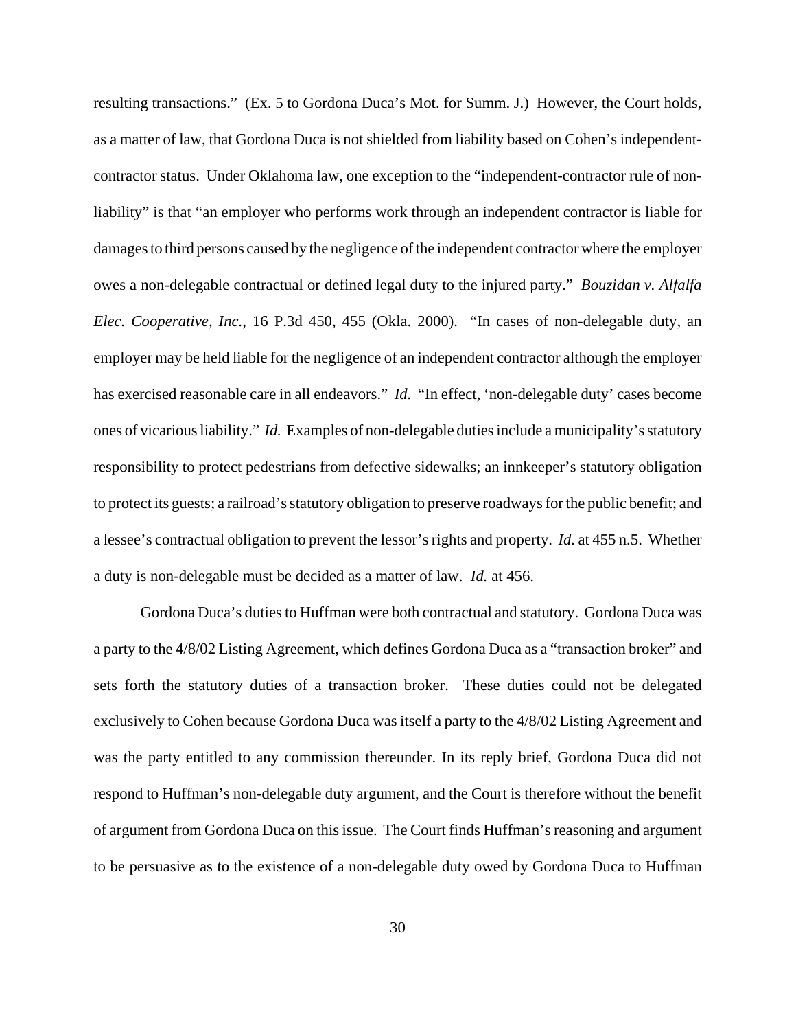resulting transactions." (Ex. 5 to Gordona Duca's Mot. for Summ. J.) However, the Court holds, as a matter of law, that Gordona Duca is not shielded from liability based on Cohen's independentcontractor status. Under Oklahoma law, one exception to the "independent-contractor rule of nonliability" is that "an employer who performs work through an independent contractor is liable for damages to third persons caused by the negligence of the independent contractor where the employer owes a non-delegable contractual or defined legal duty to the injured party." *Bouzidan v. Alfalfa Elec. Cooperative, Inc.*, 16 P.3d 450, 455 (Okla. 2000). "In cases of non-delegable duty, an employer may be held liable for the negligence of an independent contractor although the employer has exercised reasonable care in all endeavors." *Id.* "In effect, 'non-delegable duty' cases become ones of vicarious liability." *Id.* Examples of non-delegable dutiesinclude a municipality's statutory responsibility to protect pedestrians from defective sidewalks; an innkeeper's statutory obligation to protect its guests; a railroad's statutory obligation to preserve roadways for the public benefit; and a lessee's contractual obligation to prevent the lessor's rights and property. *Id.* at 455 n.5. Whether a duty is non-delegable must be decided as a matter of law. *Id.* at 456.

Gordona Duca's duties to Huffman were both contractual and statutory. Gordona Duca was a party to the 4/8/02 Listing Agreement, which defines Gordona Duca as a "transaction broker" and sets forth the statutory duties of a transaction broker. These duties could not be delegated exclusively to Cohen because Gordona Duca was itself a party to the 4/8/02 Listing Agreement and was the party entitled to any commission thereunder. In its reply brief, Gordona Duca did not respond to Huffman's non-delegable duty argument, and the Court is therefore without the benefit of argument from Gordona Duca on this issue. The Court finds Huffman's reasoning and argument to be persuasive as to the existence of a non-delegable duty owed by Gordona Duca to Huffman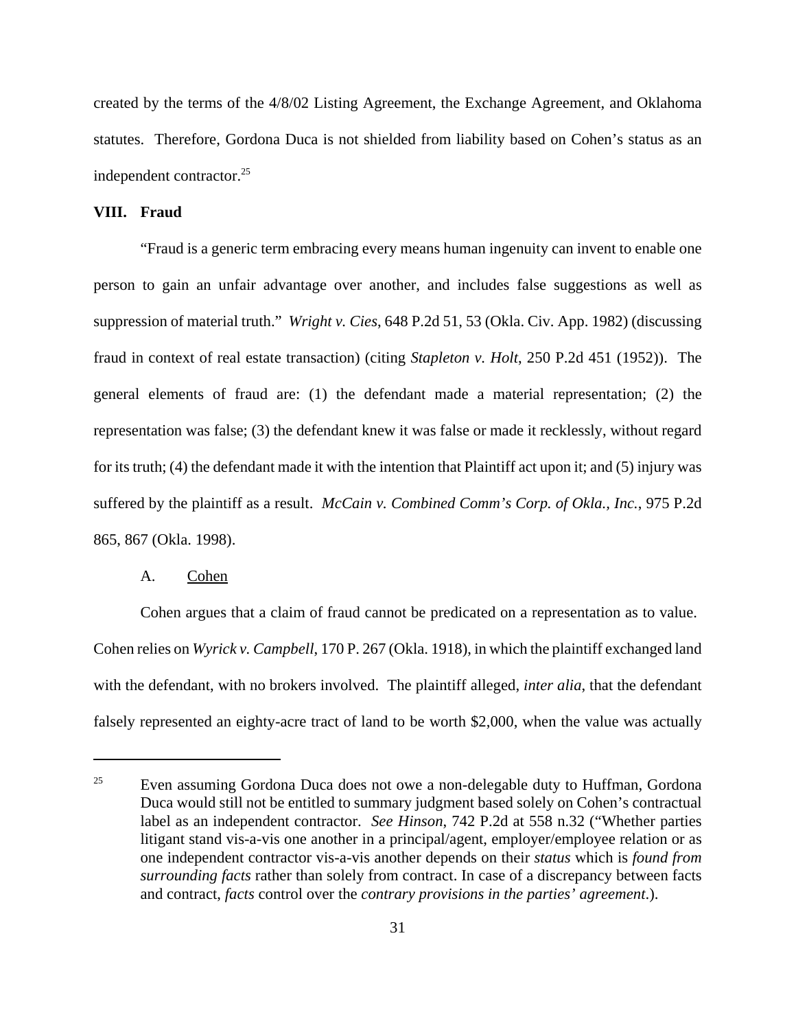created by the terms of the 4/8/02 Listing Agreement, the Exchange Agreement, and Oklahoma statutes. Therefore, Gordona Duca is not shielded from liability based on Cohen's status as an independent contractor.<sup>25</sup>

## **VIII. Fraud**

"Fraud is a generic term embracing every means human ingenuity can invent to enable one person to gain an unfair advantage over another, and includes false suggestions as well as suppression of material truth." *Wright v. Cies*, 648 P.2d 51, 53 (Okla. Civ. App. 1982) (discussing fraud in context of real estate transaction) (citing *Stapleton v. Holt*, 250 P.2d 451 (1952)). The general elements of fraud are: (1) the defendant made a material representation; (2) the representation was false; (3) the defendant knew it was false or made it recklessly, without regard for its truth; (4) the defendant made it with the intention that Plaintiff act upon it; and (5) injury was suffered by the plaintiff as a result. *McCain v. Combined Comm's Corp. of Okla., Inc.*, 975 P.2d 865, 867 (Okla. 1998).

### A. Cohen

Cohen argues that a claim of fraud cannot be predicated on a representation as to value. Cohen relies on *Wyrick v. Campbell*, 170 P. 267 (Okla. 1918), in which the plaintiff exchanged land with the defendant, with no brokers involved. The plaintiff alleged, *inter alia*, that the defendant falsely represented an eighty-acre tract of land to be worth \$2,000, when the value was actually

<sup>&</sup>lt;sup>25</sup> Even assuming Gordona Duca does not owe a non-delegable duty to Huffman, Gordona Duca would still not be entitled to summary judgment based solely on Cohen's contractual label as an independent contractor. *See Hinson*, 742 P.2d at 558 n.32 ("Whether parties litigant stand vis-a-vis one another in a principal/agent, employer/employee relation or as one independent contractor vis-a-vis another depends on their *status* which is *found from surrounding facts* rather than solely from contract. In case of a discrepancy between facts and contract, *facts* control over the *contrary provisions in the parties' agreement*.).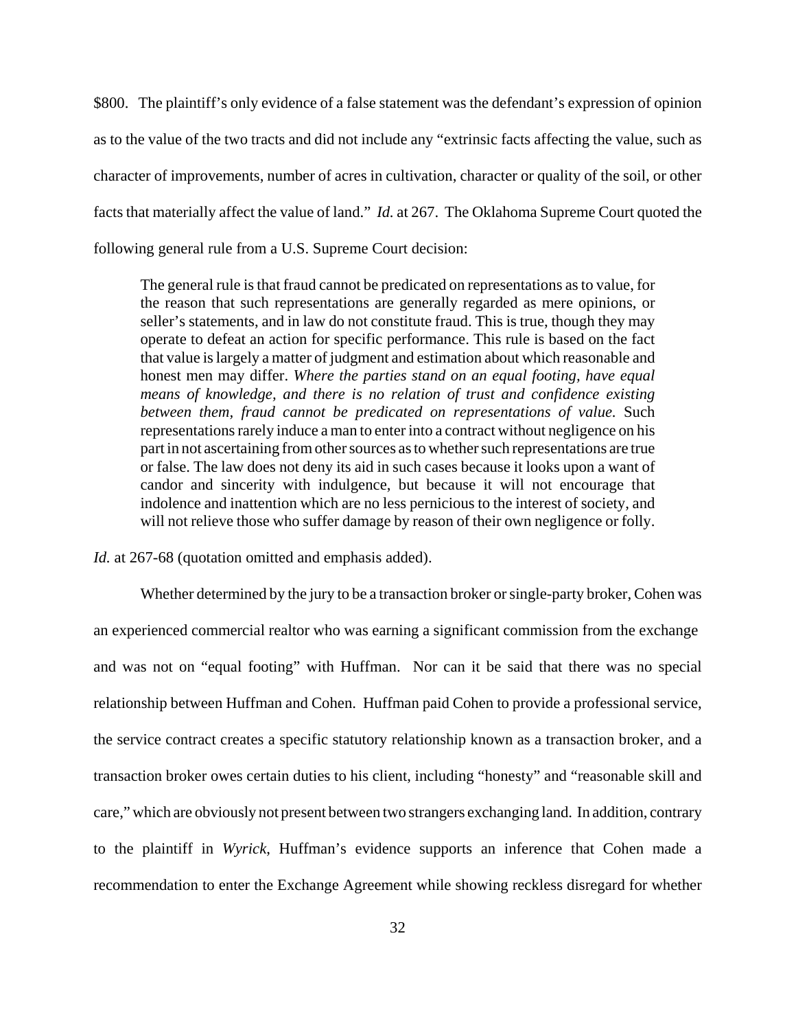\$800. The plaintiff's only evidence of a false statement was the defendant's expression of opinion as to the value of the two tracts and did not include any "extrinsic facts affecting the value, such as character of improvements, number of acres in cultivation, character or quality of the soil, or other facts that materially affect the value of land." *Id.* at 267. The Oklahoma Supreme Court quoted the following general rule from a U.S. Supreme Court decision:

The general rule is that fraud cannot be predicated on representations as to value, for the reason that such representations are generally regarded as mere opinions, or seller's statements, and in law do not constitute fraud. This is true, though they may operate to defeat an action for specific performance. This rule is based on the fact that value is largely a matter of judgment and estimation about which reasonable and honest men may differ. *Where the parties stand on an equal footing, have equal means of knowledge, and there is no relation of trust and confidence existing between them, fraud cannot be predicated on representations of value.* Such representations rarely induce a man to enter into a contract without negligence on his part in not ascertaining from other sources as to whether such representations are true or false. The law does not deny its aid in such cases because it looks upon a want of candor and sincerity with indulgence, but because it will not encourage that indolence and inattention which are no less pernicious to the interest of society, and will not relieve those who suffer damage by reason of their own negligence or folly.

*Id.* at 267-68 (quotation omitted and emphasis added).

Whether determined by the jury to be a transaction broker or single-party broker, Cohen was an experienced commercial realtor who was earning a significant commission from the exchange and was not on "equal footing" with Huffman. Nor can it be said that there was no special relationship between Huffman and Cohen. Huffman paid Cohen to provide a professional service, the service contract creates a specific statutory relationship known as a transaction broker, and a transaction broker owes certain duties to his client, including "honesty" and "reasonable skill and care," which are obviously not present between two strangers exchanging land. In addition, contrary to the plaintiff in *Wyrick*, Huffman's evidence supports an inference that Cohen made a recommendation to enter the Exchange Agreement while showing reckless disregard for whether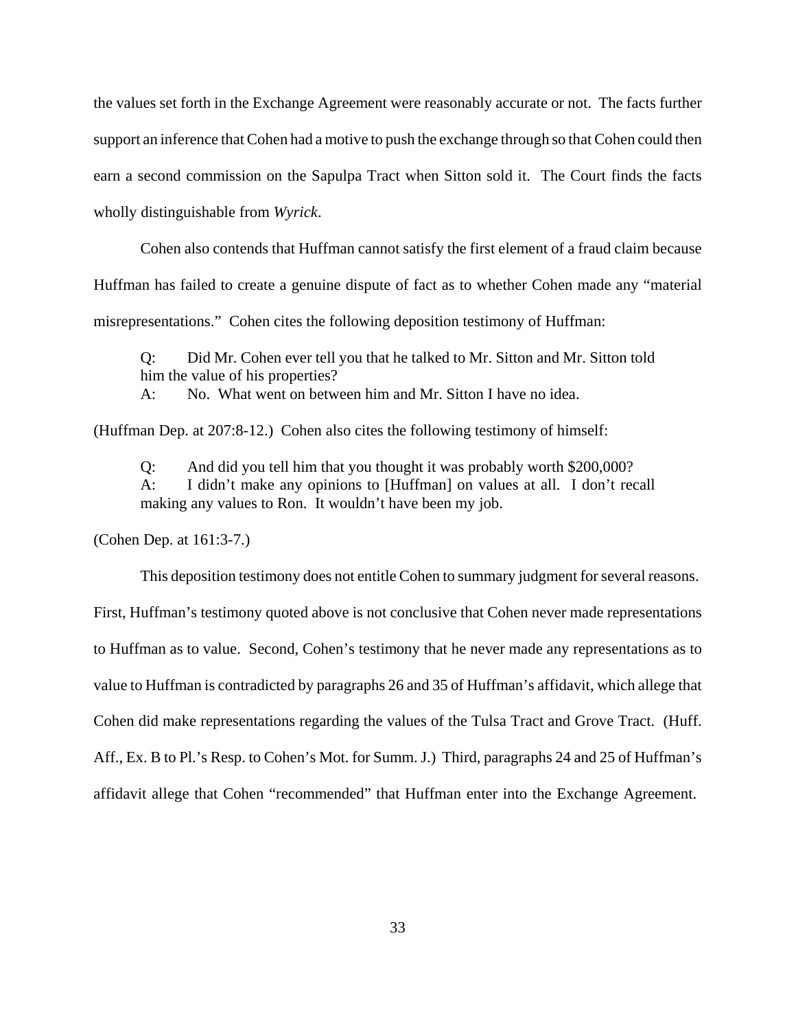the values set forth in the Exchange Agreement were reasonably accurate or not. The facts further support an inference that Cohen had a motive to push the exchange through so that Cohen could then earn a second commission on the Sapulpa Tract when Sitton sold it. The Court finds the facts wholly distinguishable from *Wyrick*.

Cohen also contends that Huffman cannot satisfy the first element of a fraud claim because Huffman has failed to create a genuine dispute of fact as to whether Cohen made any "material misrepresentations." Cohen cites the following deposition testimony of Huffman:

Q: Did Mr. Cohen ever tell you that he talked to Mr. Sitton and Mr. Sitton told him the value of his properties?

A: No. What went on between him and Mr. Sitton I have no idea.

(Huffman Dep. at 207:8-12.) Cohen also cites the following testimony of himself:

Q: And did you tell him that you thought it was probably worth \$200,000? A: I didn't make any opinions to [Huffman] on values at all. I don't recall making any values to Ron. It wouldn't have been my job.

(Cohen Dep. at 161:3-7.)

This deposition testimony does not entitle Cohen to summary judgment for several reasons. First, Huffman's testimony quoted above is not conclusive that Cohen never made representations to Huffman as to value. Second, Cohen's testimony that he never made any representations as to value to Huffman is contradicted by paragraphs 26 and 35 of Huffman's affidavit, which allege that Cohen did make representations regarding the values of the Tulsa Tract and Grove Tract. (Huff. Aff., Ex. B to Pl.'s Resp. to Cohen's Mot. for Summ. J.) Third, paragraphs 24 and 25 of Huffman's affidavit allege that Cohen "recommended" that Huffman enter into the Exchange Agreement.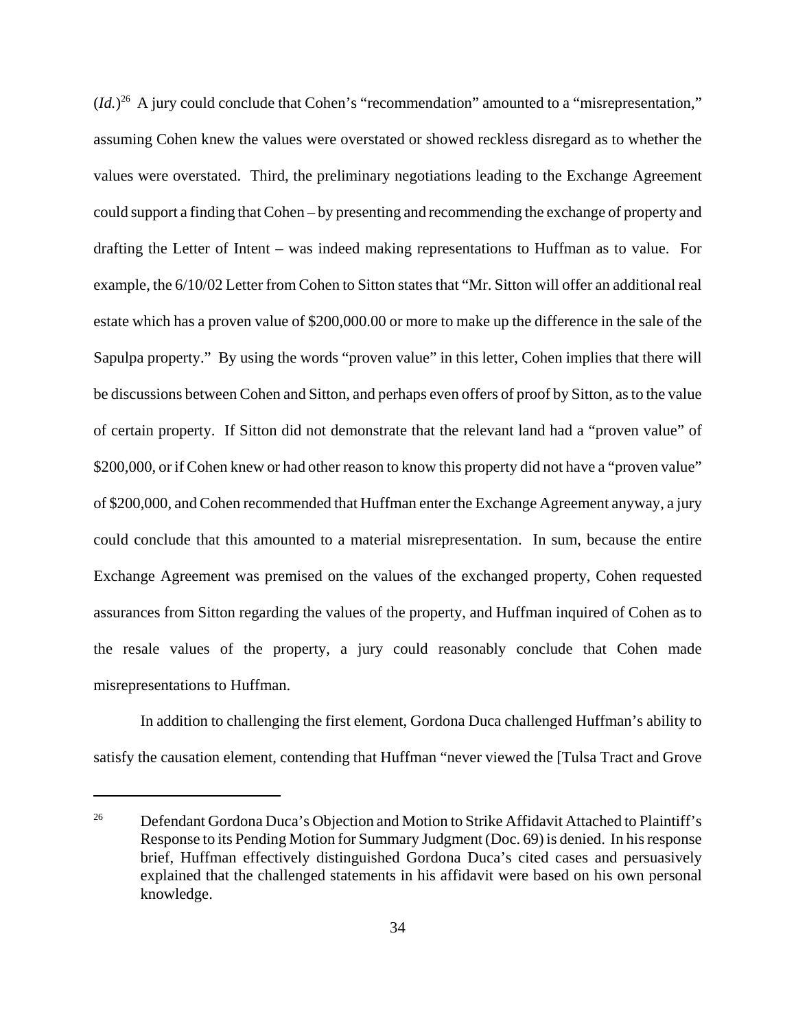$(Id.)^{26}$  A jury could conclude that Cohen's "recommendation" amounted to a "misrepresentation," assuming Cohen knew the values were overstated or showed reckless disregard as to whether the values were overstated. Third, the preliminary negotiations leading to the Exchange Agreement could support a finding that Cohen – by presenting and recommending the exchange of property and drafting the Letter of Intent – was indeed making representations to Huffman as to value. For example, the 6/10/02 Letter from Cohen to Sitton states that "Mr. Sitton will offer an additional real estate which has a proven value of \$200,000.00 or more to make up the difference in the sale of the Sapulpa property." By using the words "proven value" in this letter, Cohen implies that there will be discussions between Cohen and Sitton, and perhaps even offers of proof by Sitton, as to the value of certain property. If Sitton did not demonstrate that the relevant land had a "proven value" of \$200,000, or if Cohen knew or had other reason to know this property did not have a "proven value" of \$200,000, and Cohen recommended that Huffman enter the Exchange Agreement anyway, a jury could conclude that this amounted to a material misrepresentation. In sum, because the entire Exchange Agreement was premised on the values of the exchanged property, Cohen requested assurances from Sitton regarding the values of the property, and Huffman inquired of Cohen as to the resale values of the property, a jury could reasonably conclude that Cohen made misrepresentations to Huffman.

In addition to challenging the first element, Gordona Duca challenged Huffman's ability to satisfy the causation element, contending that Huffman "never viewed the [Tulsa Tract and Grove

<sup>&</sup>lt;sup>26</sup> Defendant Gordona Duca's Objection and Motion to Strike Affidavit Attached to Plaintiff's Response to its Pending Motion for Summary Judgment (Doc. 69) is denied. In his response brief, Huffman effectively distinguished Gordona Duca's cited cases and persuasively explained that the challenged statements in his affidavit were based on his own personal knowledge.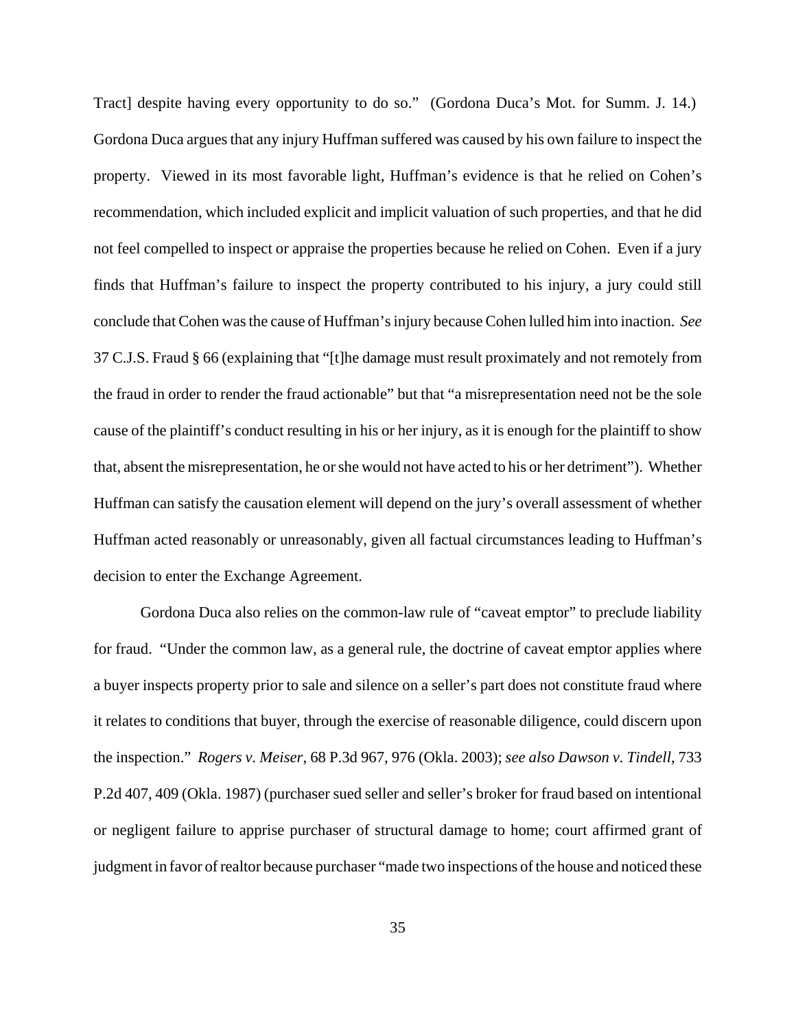Tract] despite having every opportunity to do so." (Gordona Duca's Mot. for Summ. J. 14.) Gordona Duca argues that any injury Huffman suffered was caused by his own failure to inspect the property. Viewed in its most favorable light, Huffman's evidence is that he relied on Cohen's recommendation, which included explicit and implicit valuation of such properties, and that he did not feel compelled to inspect or appraise the properties because he relied on Cohen. Even if a jury finds that Huffman's failure to inspect the property contributed to his injury, a jury could still conclude that Cohen was the cause of Huffman's injury because Cohen lulled him into inaction. *See* 37 C.J.S. Fraud § 66 (explaining that "[t]he damage must result proximately and not remotely from the fraud in order to render the fraud actionable" but that "a misrepresentation need not be the sole cause of the plaintiff's conduct resulting in his or her injury, as it is enough for the plaintiff to show that, absent the misrepresentation, he or she would not have acted to his or her detriment"). Whether Huffman can satisfy the causation element will depend on the jury's overall assessment of whether Huffman acted reasonably or unreasonably, given all factual circumstances leading to Huffman's decision to enter the Exchange Agreement.

Gordona Duca also relies on the common-law rule of "caveat emptor" to preclude liability for fraud. "Under the common law, as a general rule, the doctrine of caveat emptor applies where a buyer inspects property prior to sale and silence on a seller's part does not constitute fraud where it relates to conditions that buyer, through the exercise of reasonable diligence, could discern upon the inspection." *Rogers v. Meiser*, 68 P.3d 967, 976 (Okla. 2003); *see also Dawson v. Tindell*, 733 P.2d 407, 409 (Okla. 1987) (purchaser sued seller and seller's broker for fraud based on intentional or negligent failure to apprise purchaser of structural damage to home; court affirmed grant of judgment in favor of realtor because purchaser "made two inspections of the house and noticed these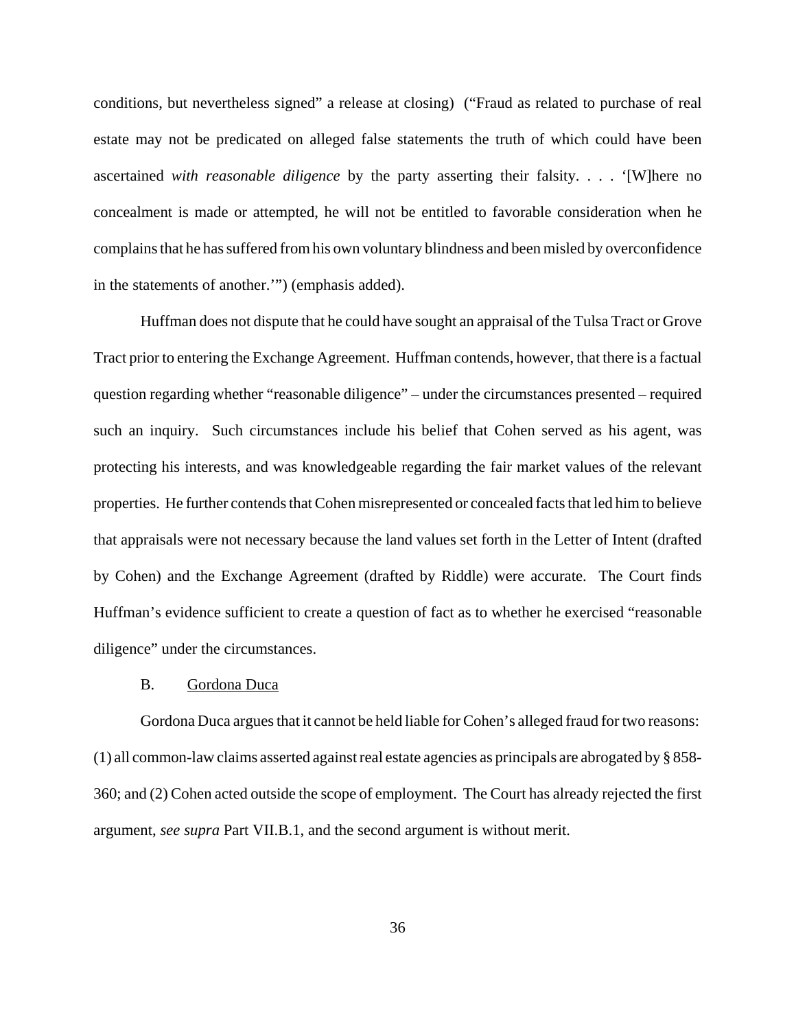conditions, but nevertheless signed" a release at closing) ("Fraud as related to purchase of real estate may not be predicated on alleged false statements the truth of which could have been ascertained *with reasonable diligence* by the party asserting their falsity. . . . '[W]here no concealment is made or attempted, he will not be entitled to favorable consideration when he complains that he has suffered from his own voluntary blindness and been misled by overconfidence in the statements of another.'") (emphasis added).

Huffman does not dispute that he could have sought an appraisal of the Tulsa Tract or Grove Tract prior to entering the Exchange Agreement. Huffman contends, however, that there is a factual question regarding whether "reasonable diligence" – under the circumstances presented – required such an inquiry. Such circumstances include his belief that Cohen served as his agent, was protecting his interests, and was knowledgeable regarding the fair market values of the relevant properties. He further contends that Cohen misrepresented or concealed facts that led him to believe that appraisals were not necessary because the land values set forth in the Letter of Intent (drafted by Cohen) and the Exchange Agreement (drafted by Riddle) were accurate. The Court finds Huffman's evidence sufficient to create a question of fact as to whether he exercised "reasonable diligence" under the circumstances.

# B. Gordona Duca

Gordona Duca argues that it cannot be held liable for Cohen's alleged fraud for two reasons: (1) all common-law claims asserted against real estate agencies as principals are abrogated by § 858- 360; and (2) Cohen acted outside the scope of employment. The Court has already rejected the first argument, *see supra* Part VII.B.1, and the second argument is without merit.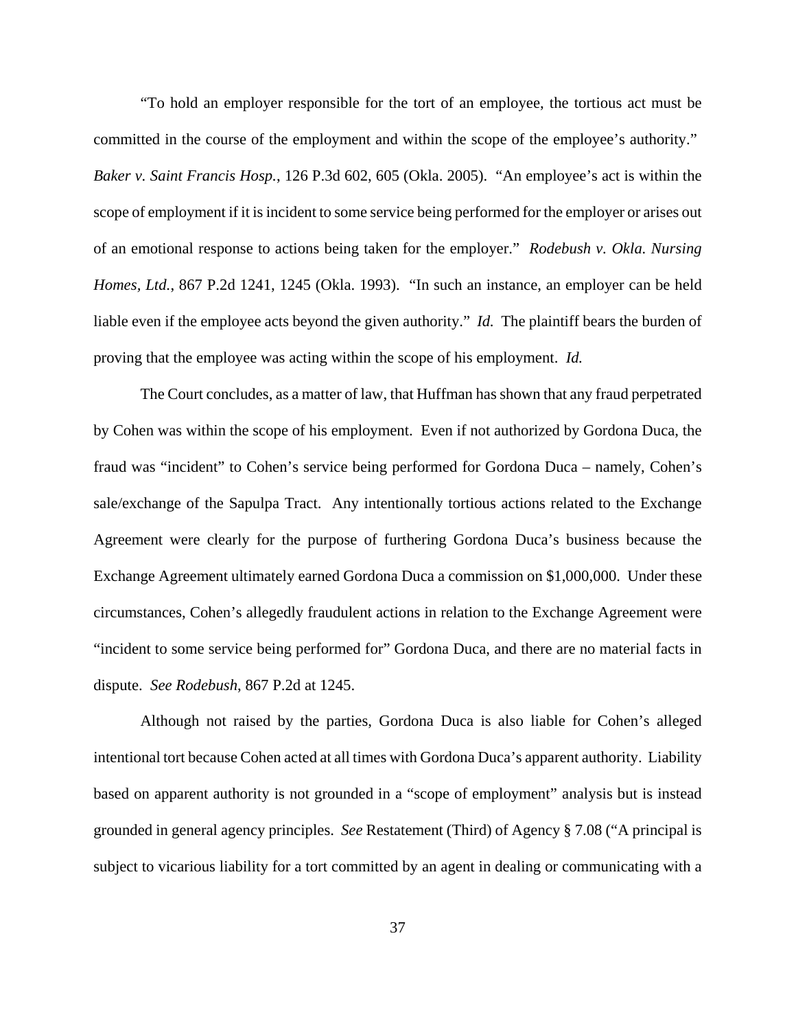"To hold an employer responsible for the tort of an employee, the tortious act must be committed in the course of the employment and within the scope of the employee's authority." *Baker v. Saint Francis Hosp.*, 126 P.3d 602, 605 (Okla. 2005). "An employee's act is within the scope of employment if it is incident to some service being performed for the employer or arises out of an emotional response to actions being taken for the employer." *Rodebush v. Okla. Nursing Homes, Ltd.*, 867 P.2d 1241, 1245 (Okla. 1993). "In such an instance, an employer can be held liable even if the employee acts beyond the given authority." *Id.* The plaintiff bears the burden of proving that the employee was acting within the scope of his employment. *Id.* 

The Court concludes, as a matter of law, that Huffman has shown that any fraud perpetrated by Cohen was within the scope of his employment. Even if not authorized by Gordona Duca, the fraud was "incident" to Cohen's service being performed for Gordona Duca – namely, Cohen's sale/exchange of the Sapulpa Tract. Any intentionally tortious actions related to the Exchange Agreement were clearly for the purpose of furthering Gordona Duca's business because the Exchange Agreement ultimately earned Gordona Duca a commission on \$1,000,000. Under these circumstances, Cohen's allegedly fraudulent actions in relation to the Exchange Agreement were "incident to some service being performed for" Gordona Duca, and there are no material facts in dispute. *See Rodebush*, 867 P.2d at 1245.

Although not raised by the parties, Gordona Duca is also liable for Cohen's alleged intentional tort because Cohen acted at all times with Gordona Duca's apparent authority. Liability based on apparent authority is not grounded in a "scope of employment" analysis but is instead grounded in general agency principles. *See* Restatement (Third) of Agency § 7.08 ("A principal is subject to vicarious liability for a tort committed by an agent in dealing or communicating with a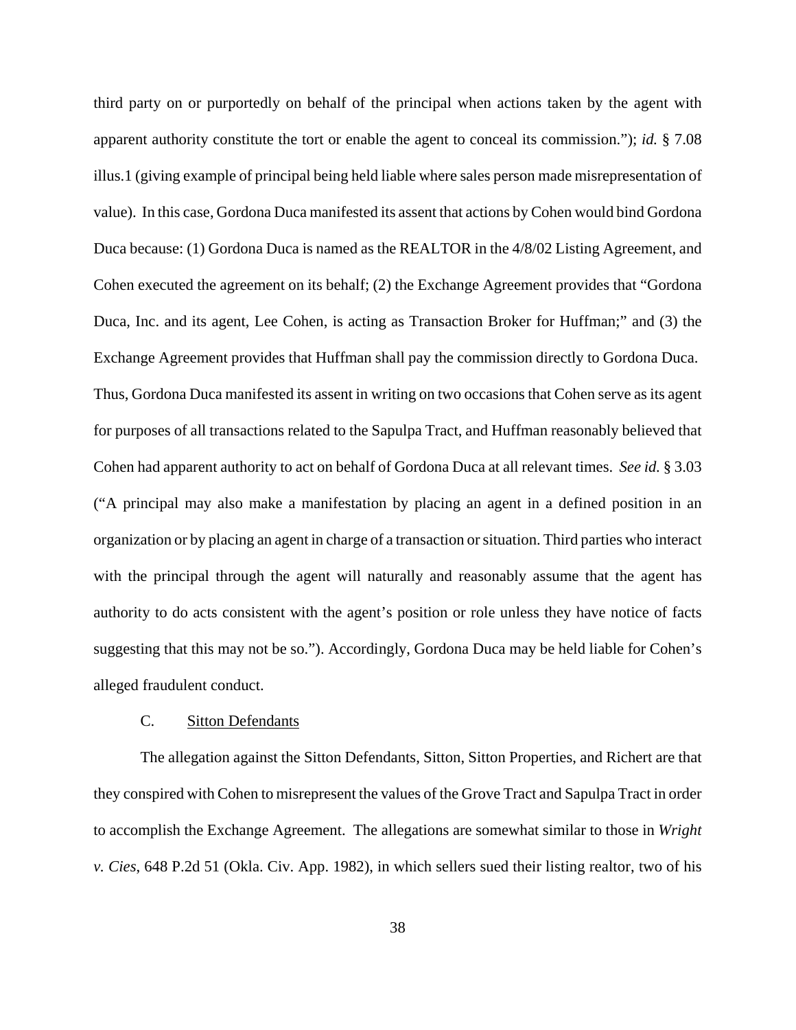third party on or purportedly on behalf of the principal when actions taken by the agent with apparent authority constitute the tort or enable the agent to conceal its commission."); *id.* § 7.08 illus.1 (giving example of principal being held liable where sales person made misrepresentation of value). In this case, Gordona Duca manifested its assent that actions by Cohen would bind Gordona Duca because: (1) Gordona Duca is named as the REALTOR in the 4/8/02 Listing Agreement, and Cohen executed the agreement on its behalf; (2) the Exchange Agreement provides that "Gordona Duca, Inc. and its agent, Lee Cohen, is acting as Transaction Broker for Huffman;" and (3) the Exchange Agreement provides that Huffman shall pay the commission directly to Gordona Duca. Thus, Gordona Duca manifested its assent in writing on two occasions that Cohen serve as its agent for purposes of all transactions related to the Sapulpa Tract, and Huffman reasonably believed that Cohen had apparent authority to act on behalf of Gordona Duca at all relevant times. *See id.* § 3.03 ("A principal may also make a manifestation by placing an agent in a defined position in an organization or by placing an agent in charge of a transaction or situation. Third parties who interact with the principal through the agent will naturally and reasonably assume that the agent has authority to do acts consistent with the agent's position or role unless they have notice of facts suggesting that this may not be so."). Accordingly, Gordona Duca may be held liable for Cohen's alleged fraudulent conduct.

# C. Sitton Defendants

The allegation against the Sitton Defendants, Sitton, Sitton Properties, and Richert are that they conspired with Cohen to misrepresent the values of the Grove Tract and Sapulpa Tract in order to accomplish the Exchange Agreement. The allegations are somewhat similar to those in *Wright v. Cies*, 648 P.2d 51 (Okla. Civ. App. 1982), in which sellers sued their listing realtor, two of his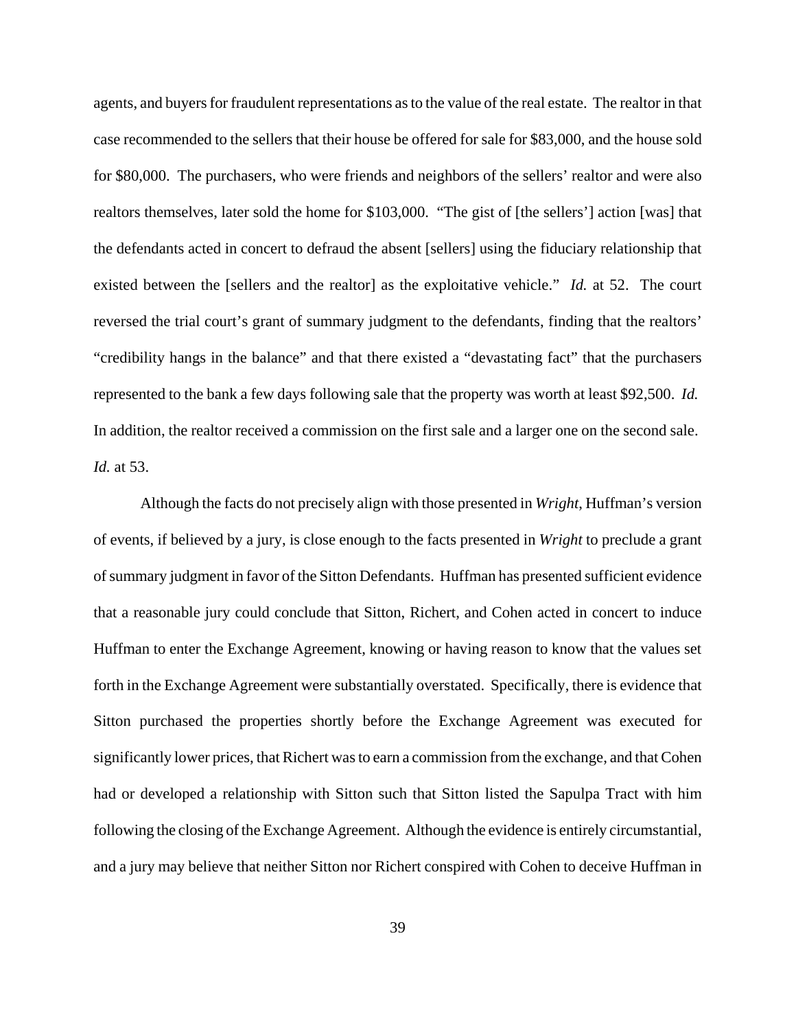agents, and buyers for fraudulent representations as to the value of the real estate. The realtor in that case recommended to the sellers that their house be offered for sale for \$83,000, and the house sold for \$80,000. The purchasers, who were friends and neighbors of the sellers' realtor and were also realtors themselves, later sold the home for \$103,000. "The gist of [the sellers'] action [was] that the defendants acted in concert to defraud the absent [sellers] using the fiduciary relationship that existed between the [sellers and the realtor] as the exploitative vehicle." *Id.* at 52. The court reversed the trial court's grant of summary judgment to the defendants, finding that the realtors' "credibility hangs in the balance" and that there existed a "devastating fact" that the purchasers represented to the bank a few days following sale that the property was worth at least \$92,500. *Id.* In addition, the realtor received a commission on the first sale and a larger one on the second sale. *Id.* at 53.

Although the facts do not precisely align with those presented in *Wright*, Huffman's version of events, if believed by a jury, is close enough to the facts presented in *Wright* to preclude a grant of summary judgment in favor of the Sitton Defendants. Huffman has presented sufficient evidence that a reasonable jury could conclude that Sitton, Richert, and Cohen acted in concert to induce Huffman to enter the Exchange Agreement, knowing or having reason to know that the values set forth in the Exchange Agreement were substantially overstated. Specifically, there is evidence that Sitton purchased the properties shortly before the Exchange Agreement was executed for significantly lower prices, that Richert was to earn a commission from the exchange, and that Cohen had or developed a relationship with Sitton such that Sitton listed the Sapulpa Tract with him following the closing of the Exchange Agreement. Although the evidence is entirely circumstantial, and a jury may believe that neither Sitton nor Richert conspired with Cohen to deceive Huffman in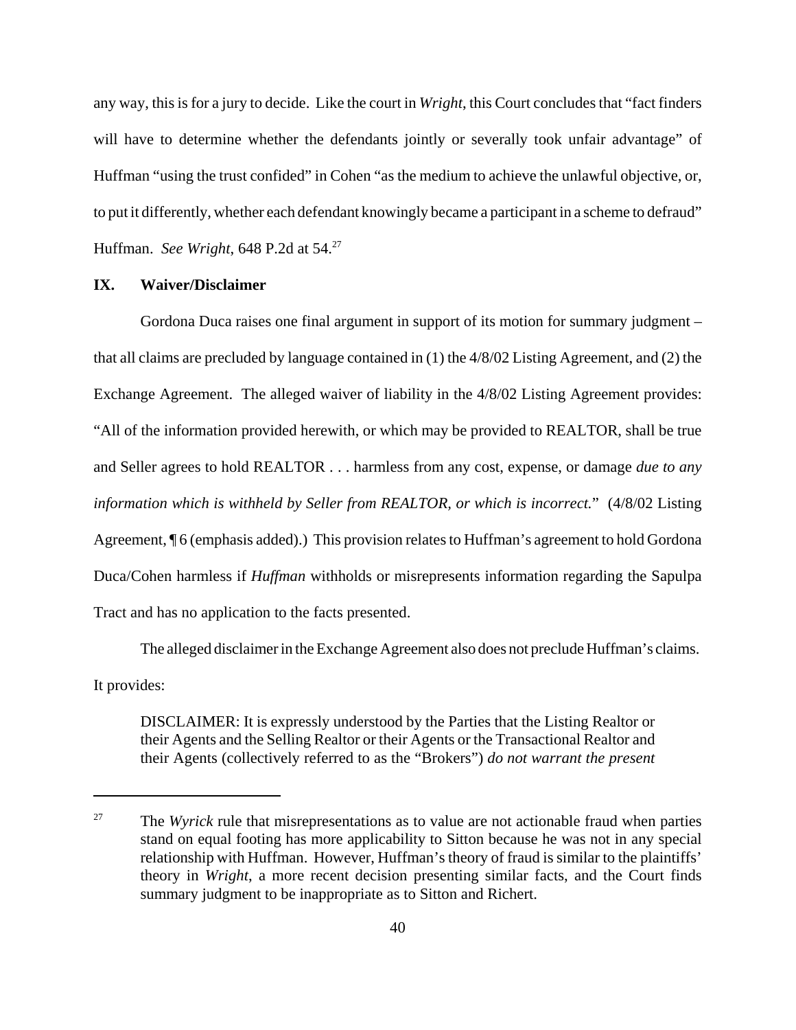any way, this is for a jury to decide. Like the court in *Wright*, this Court concludes that "fact finders will have to determine whether the defendants jointly or severally took unfair advantage" of Huffman "using the trust confided" in Cohen "as the medium to achieve the unlawful objective, or, to put it differently, whether each defendant knowingly became a participant in a scheme to defraud" Huffman. *See Wright*, 648 P.2d at 54.<sup>27</sup>

# **IX. Waiver/Disclaimer**

Gordona Duca raises one final argument in support of its motion for summary judgment – that all claims are precluded by language contained in (1) the 4/8/02 Listing Agreement, and (2) the Exchange Agreement. The alleged waiver of liability in the 4/8/02 Listing Agreement provides: "All of the information provided herewith, or which may be provided to REALTOR, shall be true and Seller agrees to hold REALTOR . . . harmless from any cost, expense, or damage *due to any information which is withheld by Seller from REALTOR, or which is incorrect.*" (4/8/02 Listing Agreement, ¶ 6 (emphasis added).) This provision relates to Huffman's agreement to hold Gordona Duca/Cohen harmless if *Huffman* withholds or misrepresents information regarding the Sapulpa Tract and has no application to the facts presented.

The alleged disclaimer in the Exchange Agreement also does not preclude Huffman's claims.

It provides:

DISCLAIMER: It is expressly understood by the Parties that the Listing Realtor or their Agents and the Selling Realtor or their Agents or the Transactional Realtor and their Agents (collectively referred to as the "Brokers") *do not warrant the present*

<sup>&</sup>lt;sup>27</sup> The *Wyrick* rule that misrepresentations as to value are not actionable fraud when parties stand on equal footing has more applicability to Sitton because he was not in any special relationship with Huffman. However, Huffman's theory of fraud is similar to the plaintiffs' theory in *Wright*, a more recent decision presenting similar facts, and the Court finds summary judgment to be inappropriate as to Sitton and Richert.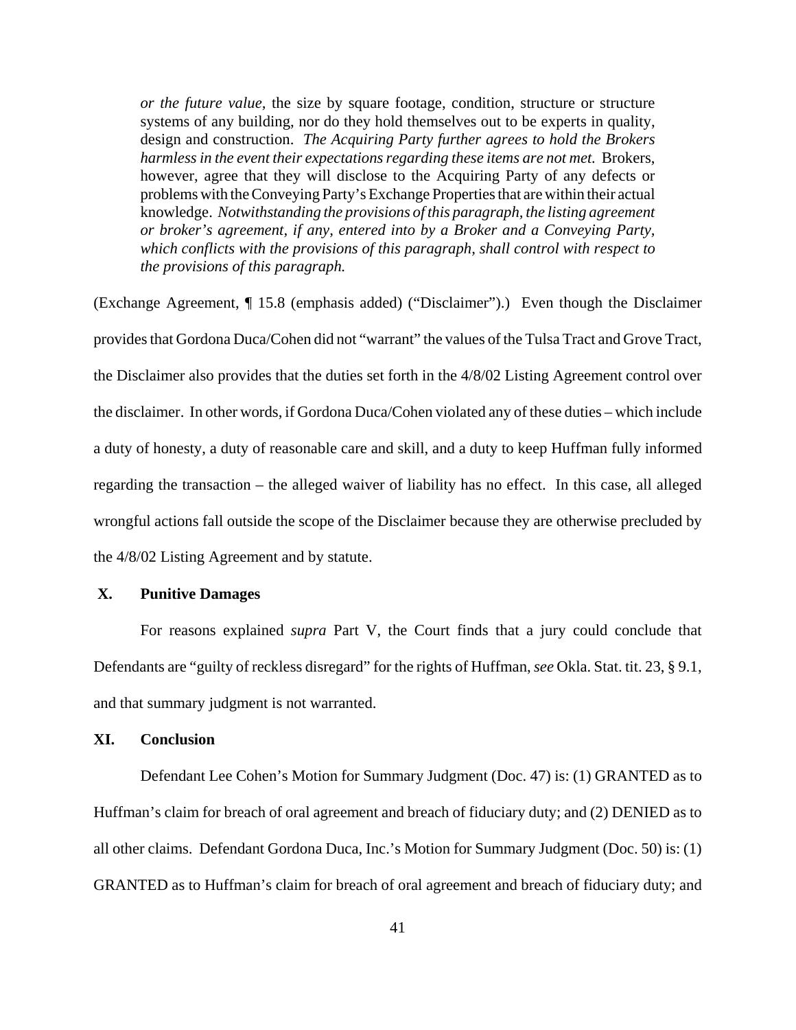*or the future value,* the size by square footage, condition, structure or structure systems of any building, nor do they hold themselves out to be experts in quality, design and construction. *The Acquiring Party further agrees to hold the Brokers harmless in the event their expectations regarding these items are not met.* Brokers, however, agree that they will disclose to the Acquiring Party of any defects or problems with the Conveying Party's Exchange Properties that are within their actual knowledge. *Notwithstanding the provisions of this paragraph, the listing agreement or broker's agreement, if any, entered into by a Broker and a Conveying Party, which conflicts with the provisions of this paragraph, shall control with respect to the provisions of this paragraph.* 

(Exchange Agreement, ¶ 15.8 (emphasis added) ("Disclaimer").) Even though the Disclaimer provides that Gordona Duca/Cohen did not "warrant" the values of the Tulsa Tract and Grove Tract, the Disclaimer also provides that the duties set forth in the 4/8/02 Listing Agreement control over the disclaimer. In other words, if Gordona Duca/Cohen violated any of these duties – which include a duty of honesty, a duty of reasonable care and skill, and a duty to keep Huffman fully informed regarding the transaction – the alleged waiver of liability has no effect. In this case, all alleged wrongful actions fall outside the scope of the Disclaimer because they are otherwise precluded by the 4/8/02 Listing Agreement and by statute.

# **X. Punitive Damages**

For reasons explained *supra* Part V, the Court finds that a jury could conclude that Defendants are "guilty of reckless disregard" for the rights of Huffman, *see* Okla. Stat. tit. 23, § 9.1, and that summary judgment is not warranted.

# **XI. Conclusion**

Defendant Lee Cohen's Motion for Summary Judgment (Doc. 47) is: (1) GRANTED as to Huffman's claim for breach of oral agreement and breach of fiduciary duty; and (2) DENIED as to all other claims. Defendant Gordona Duca, Inc.'s Motion for Summary Judgment (Doc. 50) is: (1) GRANTED as to Huffman's claim for breach of oral agreement and breach of fiduciary duty; and